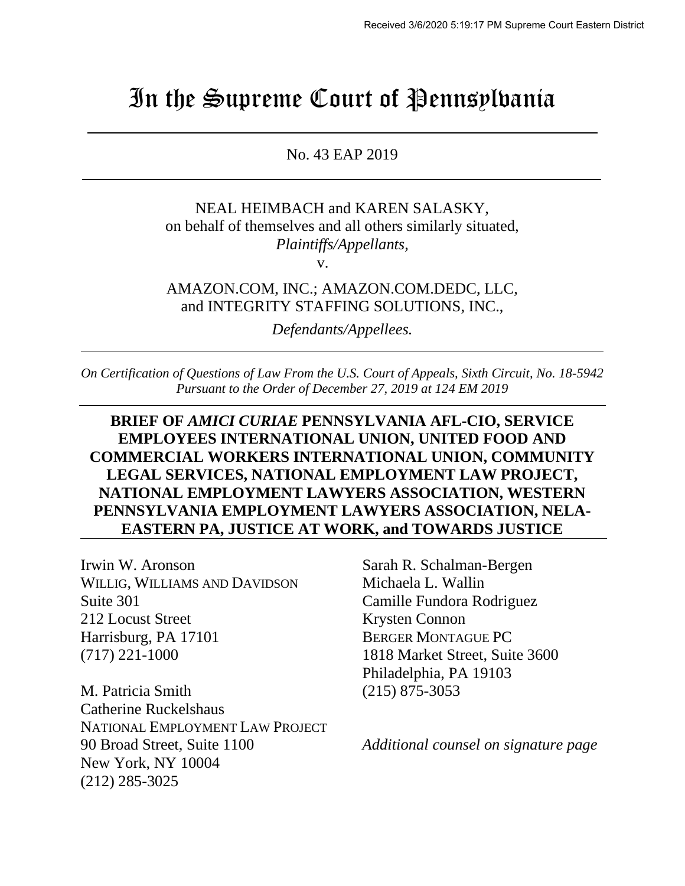# In the Supreme Court of Pennsylvania

No. 43 EAP 2019

NEAL HEIMBACH and KAREN SALASKY, on behalf of themselves and all others similarly situated, *Plaintiffs/Appellants,*

v.

AMAZON.COM, INC.; AMAZON.COM.DEDC, LLC, and INTEGRITY STAFFING SOLUTIONS, INC.,

*Defendants/Appellees.*

*On Certification of Questions of Law From the U.S. Court of Appeals, Sixth Circuit, No. 18-5942 Pursuant to the Order of December 27, 2019 at 124 EM 2019*

### **BRIEF OF** *AMICI CURIAE* **PENNSYLVANIA AFL-CIO, SERVICE EMPLOYEES INTERNATIONAL UNION, UNITED FOOD AND COMMERCIAL WORKERS INTERNATIONAL UNION, COMMUNITY LEGAL SERVICES, NATIONAL EMPLOYMENT LAW PROJECT, NATIONAL EMPLOYMENT LAWYERS ASSOCIATION, WESTERN PENNSYLVANIA EMPLOYMENT LAWYERS ASSOCIATION, NELA-EASTERN PA, JUSTICE AT WORK, and TOWARDS JUSTICE**

Irwin W. Aronson Sarah R. Schalman-Bergen WILLIG, WILLIAMS AND DAVIDSON Michaela L. Wallin Suite 301 Camille Fundora Rodriguez 212 Locust Street Krysten Connon Harrisburg, PA 17101 BERGER MONTAGUE PC (717) 221-1000 1818 Market Street, Suite 3600

M. Patricia Smith (215) 875-3053 Catherine Ruckelshaus NATIONAL EMPLOYMENT LAW PROJECT 90 Broad Street, Suite 1100 *Additional counsel on signature page* New York, NY 10004 (212) 285-3025

Philadelphia, PA 19103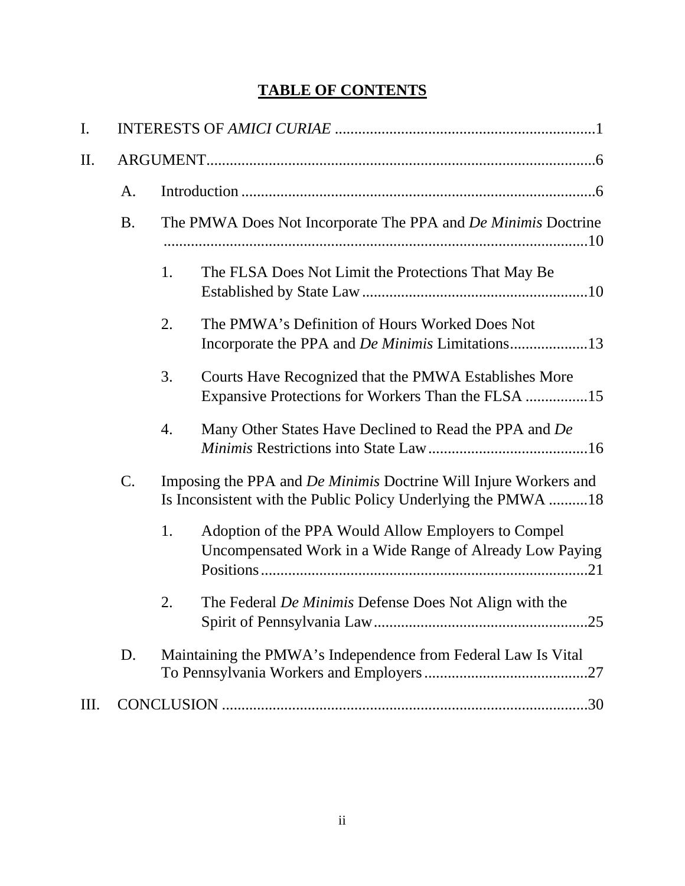## **TABLE OF CONTENTS**

| I.  |           |                                                                                                                                          |  |  |
|-----|-----------|------------------------------------------------------------------------------------------------------------------------------------------|--|--|
| II. |           |                                                                                                                                          |  |  |
|     | A.        |                                                                                                                                          |  |  |
|     | <b>B.</b> | The PMWA Does Not Incorporate The PPA and <i>De Minimis</i> Doctrine                                                                     |  |  |
|     |           | 1.<br>The FLSA Does Not Limit the Protections That May Be                                                                                |  |  |
|     |           | 2.<br>The PMWA's Definition of Hours Worked Does Not<br>Incorporate the PPA and <i>De Minimis</i> Limitations13                          |  |  |
|     |           | 3.<br>Courts Have Recognized that the PMWA Establishes More<br>Expansive Protections for Workers Than the FLSA 15                        |  |  |
|     |           | 4.<br>Many Other States Have Declined to Read the PPA and De                                                                             |  |  |
|     | C.        | Imposing the PPA and <i>De Minimis</i> Doctrine Will Injure Workers and<br>Is Inconsistent with the Public Policy Underlying the PMWA 18 |  |  |
|     |           | Adoption of the PPA Would Allow Employers to Compel<br>1.<br>Uncompensated Work in a Wide Range of Already Low Paying                    |  |  |
|     |           | The Federal De Minimis Defense Does Not Align with the<br>2.                                                                             |  |  |
|     | D.        | Maintaining the PMWA's Independence from Federal Law Is Vital                                                                            |  |  |
| Ш.  |           |                                                                                                                                          |  |  |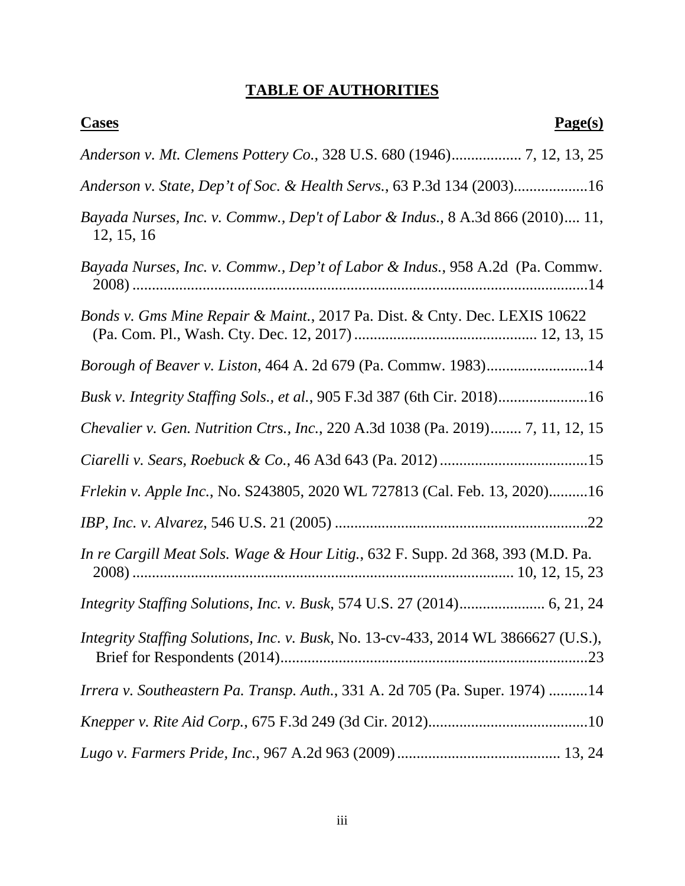## **TABLE OF AUTHORITIES**

| <b>Cases</b><br>Page(s)                                                                     |
|---------------------------------------------------------------------------------------------|
|                                                                                             |
| Anderson v. State, Dep't of Soc. & Health Servs., 63 P.3d 134 (2003)16                      |
| Bayada Nurses, Inc. v. Commw., Dep't of Labor & Indus., 8 A.3d 866 (2010) 11,<br>12, 15, 16 |
| Bayada Nurses, Inc. v. Commw., Dep't of Labor & Indus., 958 A.2d (Pa. Commw.                |
| Bonds v. Gms Mine Repair & Maint., 2017 Pa. Dist. & Cnty. Dec. LEXIS 10622                  |
| Borough of Beaver v. Liston, 464 A. 2d 679 (Pa. Commw. 1983)14                              |
| Busk v. Integrity Staffing Sols., et al., 905 F.3d 387 (6th Cir. 2018)16                    |
| Chevalier v. Gen. Nutrition Ctrs., Inc., 220 A.3d 1038 (Pa. 2019) 7, 11, 12, 15             |
|                                                                                             |
| Frlekin v. Apple Inc., No. S243805, 2020 WL 727813 (Cal. Feb. 13, 2020)16                   |
|                                                                                             |
| In re Cargill Meat Sols. Wage & Hour Litig., 632 F. Supp. 2d 368, 393 (M.D. Pa.             |
|                                                                                             |
| Integrity Staffing Solutions, Inc. v. Busk, No. 13-cv-433, 2014 WL 3866627 (U.S.),          |
| Irrera v. Southeastern Pa. Transp. Auth., 331 A. 2d 705 (Pa. Super. 1974) 14                |
|                                                                                             |
|                                                                                             |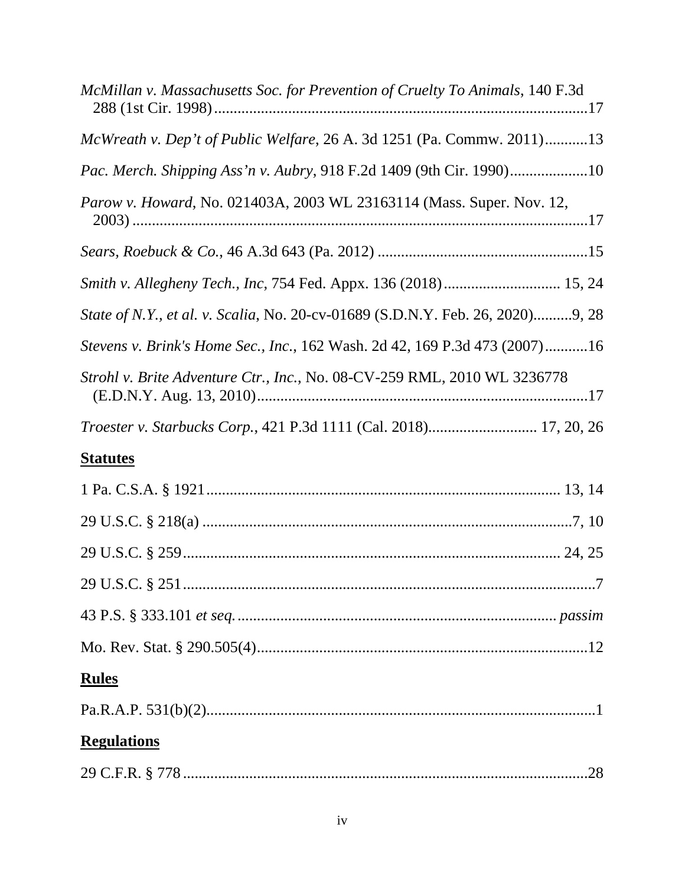| McMillan v. Massachusetts Soc. for Prevention of Cruelty To Animals, 140 F.3d  |
|--------------------------------------------------------------------------------|
| McWreath v. Dep't of Public Welfare, 26 A. 3d 1251 (Pa. Commw. 2011)13         |
| Pac. Merch. Shipping Ass'n v. Aubry, 918 F.2d 1409 (9th Cir. 1990)10           |
| Parow v. Howard, No. 021403A, 2003 WL 23163114 (Mass. Super. Nov. 12,          |
|                                                                                |
|                                                                                |
| State of N.Y., et al. v. Scalia, No. 20-cv-01689 (S.D.N.Y. Feb. 26, 2020)9, 28 |
| Stevens v. Brink's Home Sec., Inc., 162 Wash. 2d 42, 169 P.3d 473 (2007)16     |
| Strohl v. Brite Adventure Ctr., Inc., No. 08-CV-259 RML, 2010 WL 3236778       |
|                                                                                |
| <b>Statutes</b>                                                                |
|                                                                                |
|                                                                                |
|                                                                                |
|                                                                                |
|                                                                                |
|                                                                                |
| <b>Rules</b>                                                                   |
|                                                                                |
| <b>Regulations</b>                                                             |
|                                                                                |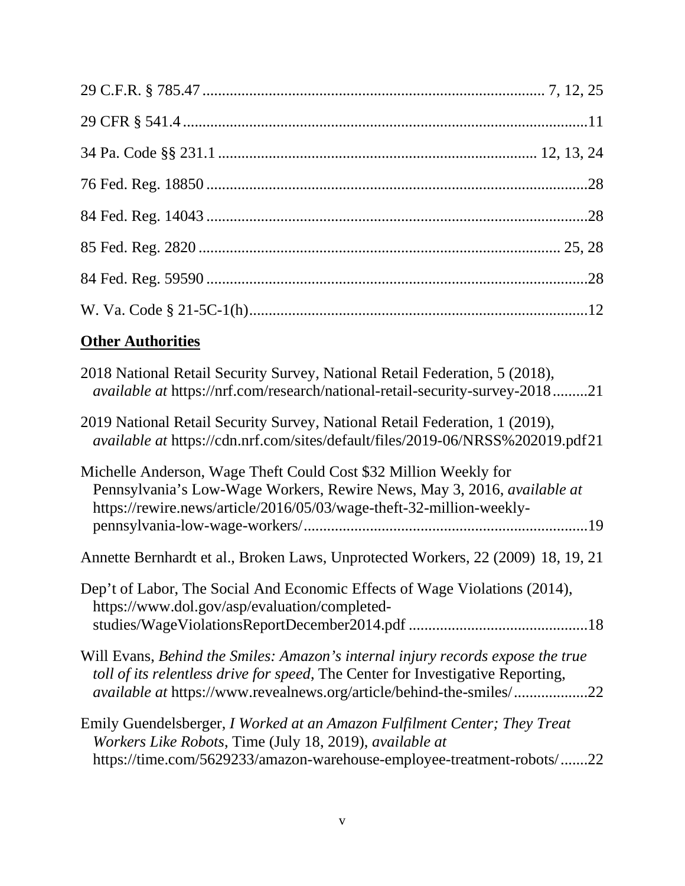## **Other Authorities**

| 2018 National Retail Security Survey, National Retail Federation, 5 (2018),<br><i>available at https://nrf.com/research/national-retail-security-survey-201821</i>                                                                                |
|---------------------------------------------------------------------------------------------------------------------------------------------------------------------------------------------------------------------------------------------------|
| 2019 National Retail Security Survey, National Retail Federation, 1 (2019),<br>available at https://cdn.nrf.com/sites/default/files/2019-06/NRSS%202019.pdf21                                                                                     |
| Michelle Anderson, Wage Theft Could Cost \$32 Million Weekly for<br>Pennsylvania's Low-Wage Workers, Rewire News, May 3, 2016, <i>available at</i><br>https://rewire.news/article/2016/05/03/wage-theft-32-million-weekly-                        |
| Annette Bernhardt et al., Broken Laws, Unprotected Workers, 22 (2009) 18, 19, 21                                                                                                                                                                  |
| Dep't of Labor, The Social And Economic Effects of Wage Violations (2014),<br>https://www.dol.gov/asp/evaluation/completed-                                                                                                                       |
| Will Evans, Behind the Smiles: Amazon's internal injury records expose the true<br>toll of its relentless drive for speed, The Center for Investigative Reporting,<br><i>available at https://www.revealnews.org/article/behind-the-smiles/22</i> |
| Emily Guendelsberger, I Worked at an Amazon Fulfilment Center; They Treat<br>Workers Like Robots, Time (July 18, 2019), available at<br>https://time.com/5629233/amazon-warehouse-employee-treatment-robots/22                                    |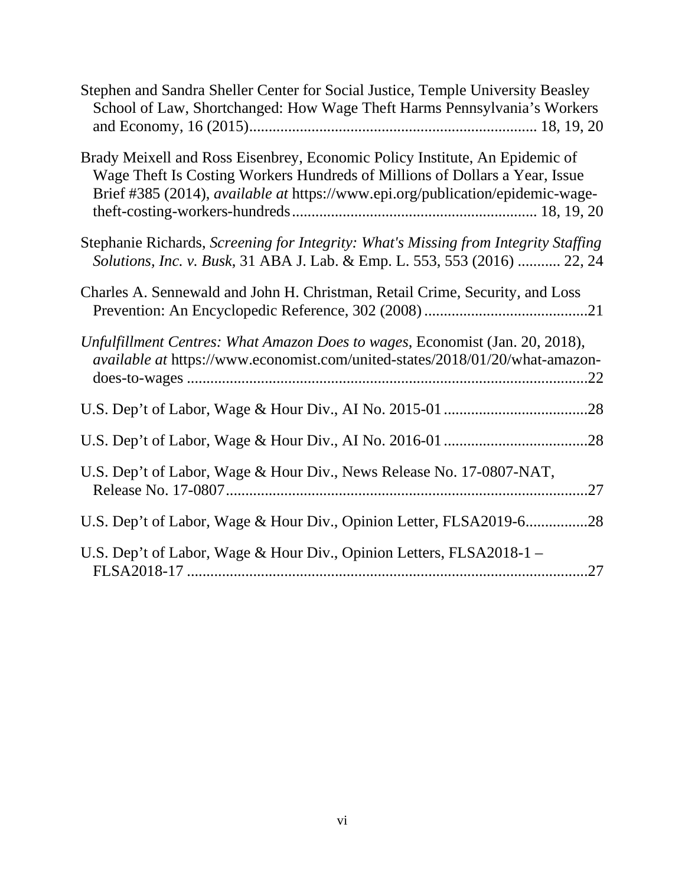| Stephen and Sandra Sheller Center for Social Justice, Temple University Beasley<br>School of Law, Shortchanged: How Wage Theft Harms Pennsylvania's Workers                                                                                  |
|----------------------------------------------------------------------------------------------------------------------------------------------------------------------------------------------------------------------------------------------|
| Brady Meixell and Ross Eisenbrey, Economic Policy Institute, An Epidemic of<br>Wage Theft Is Costing Workers Hundreds of Millions of Dollars a Year, Issue<br>Brief #385 (2014), available at https://www.epi.org/publication/epidemic-wage- |
| Stephanie Richards, Screening for Integrity: What's Missing from Integrity Staffing<br>Solutions, Inc. v. Busk, 31 ABA J. Lab. & Emp. L. 553, 553 (2016)  22, 24                                                                             |
| Charles A. Sennewald and John H. Christman, Retail Crime, Security, and Loss                                                                                                                                                                 |
| Unfulfillment Centres: What Amazon Does to wages, Economist (Jan. 20, 2018),<br>available at https://www.economist.com/united-states/2018/01/20/what-amazon-                                                                                 |
|                                                                                                                                                                                                                                              |
|                                                                                                                                                                                                                                              |
| U.S. Dep't of Labor, Wage & Hour Div., News Release No. 17-0807-NAT,                                                                                                                                                                         |
| U.S. Dep't of Labor, Wage & Hour Div., Opinion Letter, FLSA2019-628                                                                                                                                                                          |
| U.S. Dep't of Labor, Wage & Hour Div., Opinion Letters, FLSA2018-1 -<br>.27                                                                                                                                                                  |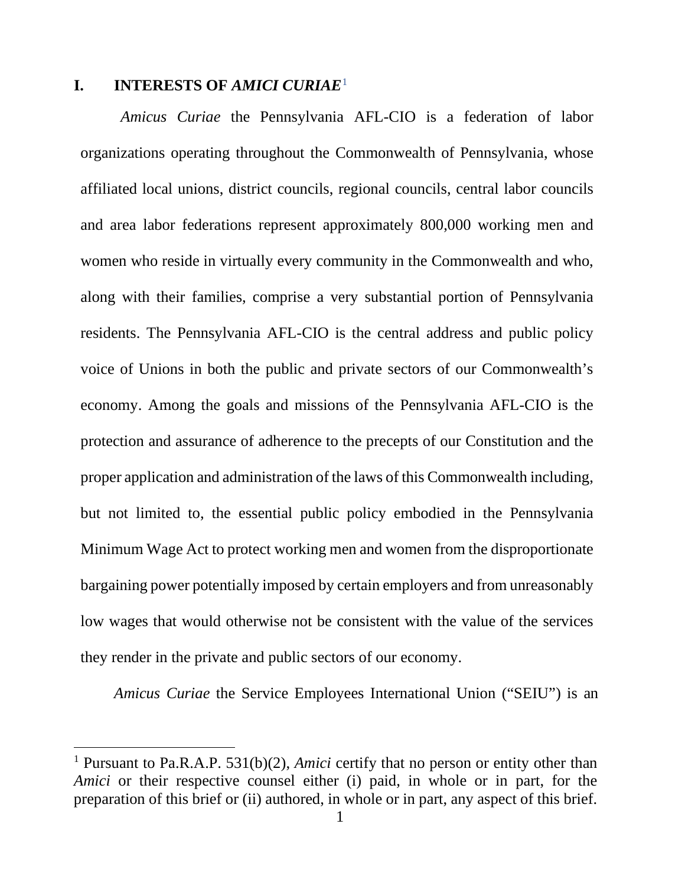#### **I. INTERESTS OF** *AMICI CURIAE*<sup>1</sup>

*Amicus Curiae* the Pennsylvania AFL-CIO is a federation of labor organizations operating throughout the Commonwealth of Pennsylvania, whose affiliated local unions, district councils, regional councils, central labor councils and area labor federations represent approximately 800,000 working men and women who reside in virtually every community in the Commonwealth and who, along with their families, comprise a very substantial portion of Pennsylvania residents. The Pennsylvania AFL-CIO is the central address and public policy voice of Unions in both the public and private sectors of our Commonwealth's economy. Among the goals and missions of the Pennsylvania AFL-CIO is the protection and assurance of adherence to the precepts of our Constitution and the proper application and administration of the laws of this Commonwealth including, but not limited to, the essential public policy embodied in the Pennsylvania Minimum Wage Act to protect working men and women from the disproportionate bargaining power potentially imposed by certain employers and from unreasonably low wages that would otherwise not be consistent with the value of the services they render in the private and public sectors of our economy.

*Amicus Curiae* the Service Employees International Union ("SEIU") is an

<sup>1</sup> Pursuant to Pa.R.A.P. 531(b)(2), *Amici* certify that no person or entity other than *Amici* or their respective counsel either (i) paid, in whole or in part, for the preparation of this brief or (ii) authored, in whole or in part, any aspect of this brief.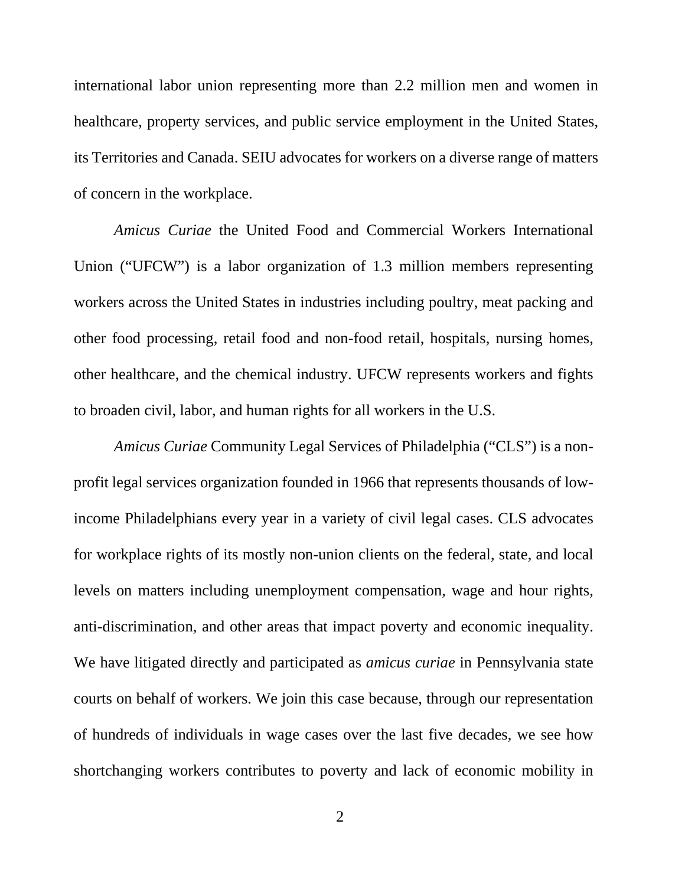international labor union representing more than 2.2 million men and women in healthcare, property services, and public service employment in the United States, its Territories and Canada. SEIU advocates for workers on a diverse range of matters of concern in the workplace.

*Amicus Curiae* the United Food and Commercial Workers International Union ("UFCW") is a labor organization of 1.3 million members representing workers across the United States in industries including poultry, meat packing and other food processing, retail food and non-food retail, hospitals, nursing homes, other healthcare, and the chemical industry. UFCW represents workers and fights to broaden civil, labor, and human rights for all workers in the U.S.

*Amicus Curiae* Community Legal Services of Philadelphia ("CLS") is a nonprofit legal services organization founded in 1966 that represents thousands of lowincome Philadelphians every year in a variety of civil legal cases. CLS advocates for workplace rights of its mostly non-union clients on the federal, state, and local levels on matters including unemployment compensation, wage and hour rights, anti-discrimination, and other areas that impact poverty and economic inequality. We have litigated directly and participated as *amicus curiae* in Pennsylvania state courts on behalf of workers. We join this case because, through our representation of hundreds of individuals in wage cases over the last five decades, we see how shortchanging workers contributes to poverty and lack of economic mobility in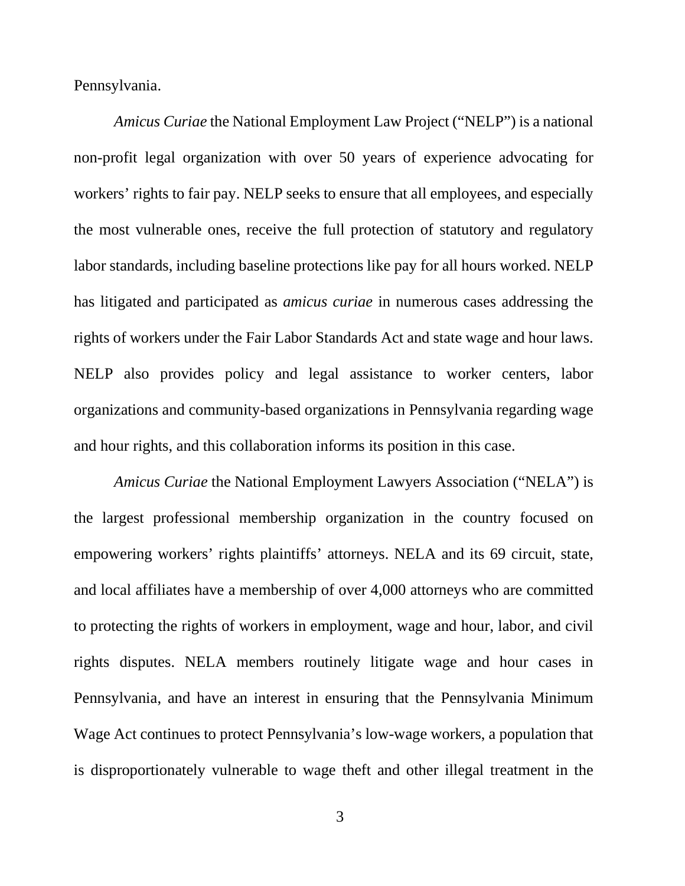Pennsylvania.

*Amicus Curiae* the National Employment Law Project ("NELP") is a national non-profit legal organization with over 50 years of experience advocating for workers' rights to fair pay. NELP seeks to ensure that all employees, and especially the most vulnerable ones, receive the full protection of statutory and regulatory labor standards, including baseline protections like pay for all hours worked. NELP has litigated and participated as *amicus curiae* in numerous cases addressing the rights of workers under the Fair Labor Standards Act and state wage and hour laws. NELP also provides policy and legal assistance to worker centers, labor organizations and community-based organizations in Pennsylvania regarding wage and hour rights, and this collaboration informs its position in this case.

*Amicus Curiae* the National Employment Lawyers Association ("NELA") is the largest professional membership organization in the country focused on empowering workers' rights plaintiffs' attorneys. NELA and its 69 circuit, state, and local affiliates have a membership of over 4,000 attorneys who are committed to protecting the rights of workers in employment, wage and hour, labor, and civil rights disputes. NELA members routinely litigate wage and hour cases in Pennsylvania, and have an interest in ensuring that the Pennsylvania Minimum Wage Act continues to protect Pennsylvania's low-wage workers, a population that is disproportionately vulnerable to wage theft and other illegal treatment in the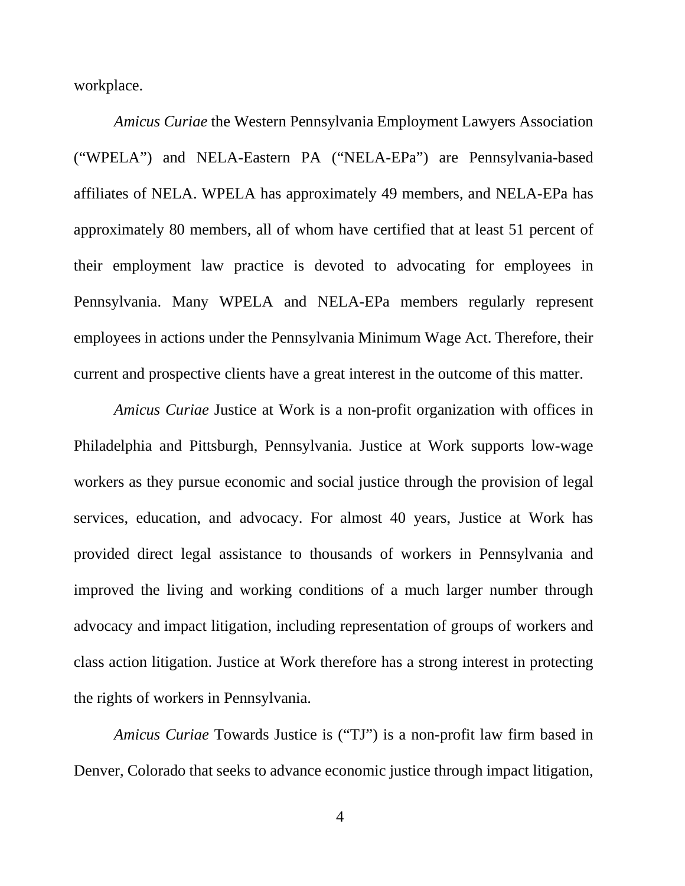workplace.

*Amicus Curiae* the Western Pennsylvania Employment Lawyers Association ("WPELA") and NELA-Eastern PA ("NELA-EPa") are Pennsylvania-based affiliates of NELA. WPELA has approximately 49 members, and NELA-EPa has approximately 80 members, all of whom have certified that at least 51 percent of their employment law practice is devoted to advocating for employees in Pennsylvania. Many WPELA and NELA-EPa members regularly represent employees in actions under the Pennsylvania Minimum Wage Act. Therefore, their current and prospective clients have a great interest in the outcome of this matter.

*Amicus Curiae* Justice at Work is a non-profit organization with offices in Philadelphia and Pittsburgh, Pennsylvania. Justice at Work supports low-wage workers as they pursue economic and social justice through the provision of legal services, education, and advocacy. For almost 40 years, Justice at Work has provided direct legal assistance to thousands of workers in Pennsylvania and improved the living and working conditions of a much larger number through advocacy and impact litigation, including representation of groups of workers and class action litigation. Justice at Work therefore has a strong interest in protecting the rights of workers in Pennsylvania.

*Amicus Curiae* Towards Justice is ("TJ") is a non-profit law firm based in Denver, Colorado that seeks to advance economic justice through impact litigation,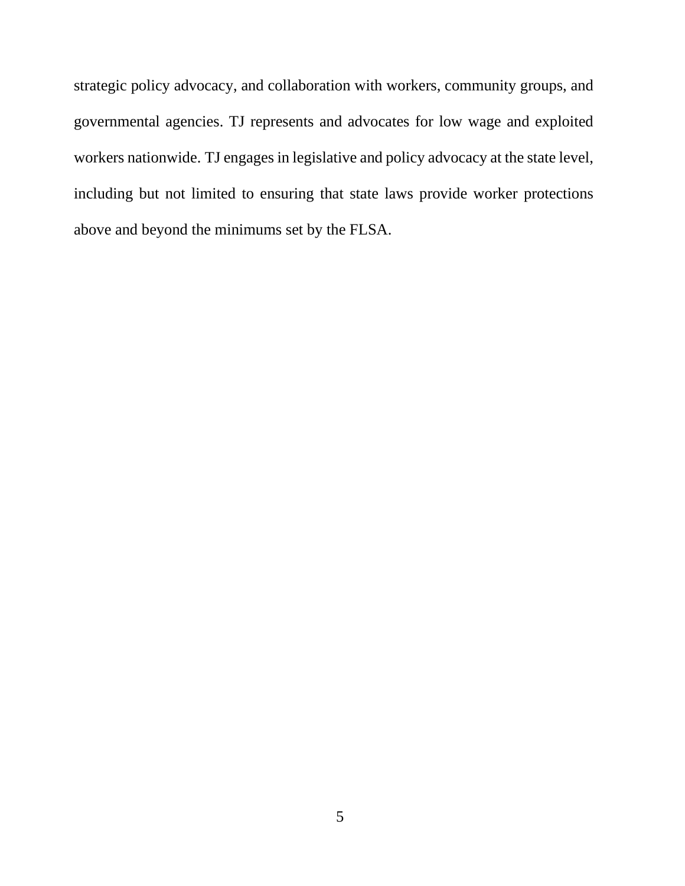strategic policy advocacy, and collaboration with workers, community groups, and governmental agencies. TJ represents and advocates for low wage and exploited workers nationwide. TJ engages in legislative and policy advocacy at the state level, including but not limited to ensuring that state laws provide worker protections above and beyond the minimums set by the FLSA.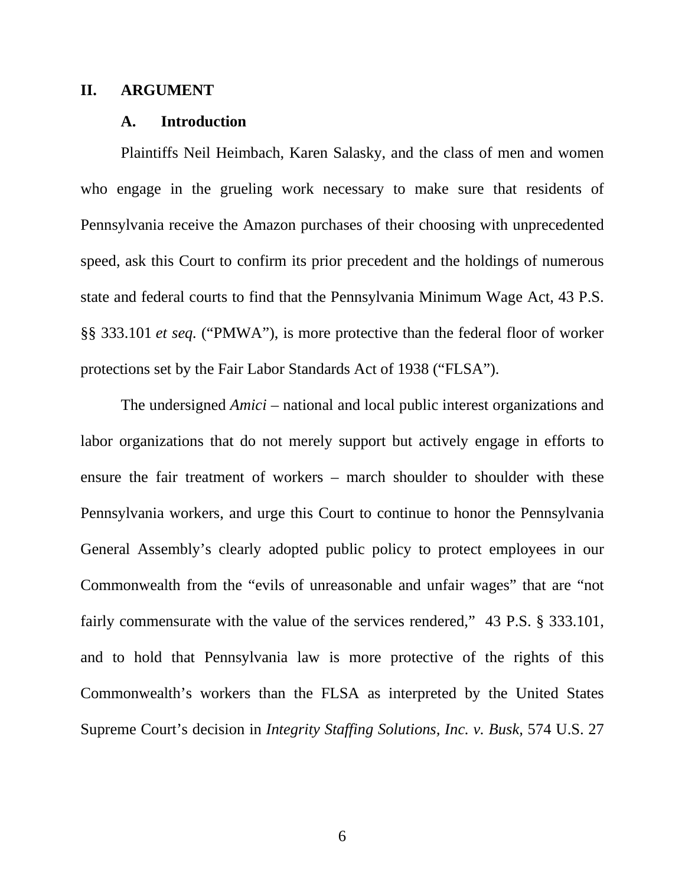#### **II. ARGUMENT**

#### **A. Introduction**

Plaintiffs Neil Heimbach, Karen Salasky, and the class of men and women who engage in the grueling work necessary to make sure that residents of Pennsylvania receive the Amazon purchases of their choosing with unprecedented speed, ask this Court to confirm its prior precedent and the holdings of numerous state and federal courts to find that the Pennsylvania Minimum Wage Act, 43 P.S. §§ 333.101 *et seq.* ("PMWA"), is more protective than the federal floor of worker protections set by the Fair Labor Standards Act of 1938 ("FLSA").

The undersigned *Amici* – national and local public interest organizations and labor organizations that do not merely support but actively engage in efforts to ensure the fair treatment of workers – march shoulder to shoulder with these Pennsylvania workers, and urge this Court to continue to honor the Pennsylvania General Assembly's clearly adopted public policy to protect employees in our Commonwealth from the "evils of unreasonable and unfair wages" that are "not fairly commensurate with the value of the services rendered," 43 P.S. § 333.101, and to hold that Pennsylvania law is more protective of the rights of this Commonwealth's workers than the FLSA as interpreted by the United States Supreme Court's decision in *Integrity Staffing Solutions, Inc. v. Busk,* 574 U.S. 27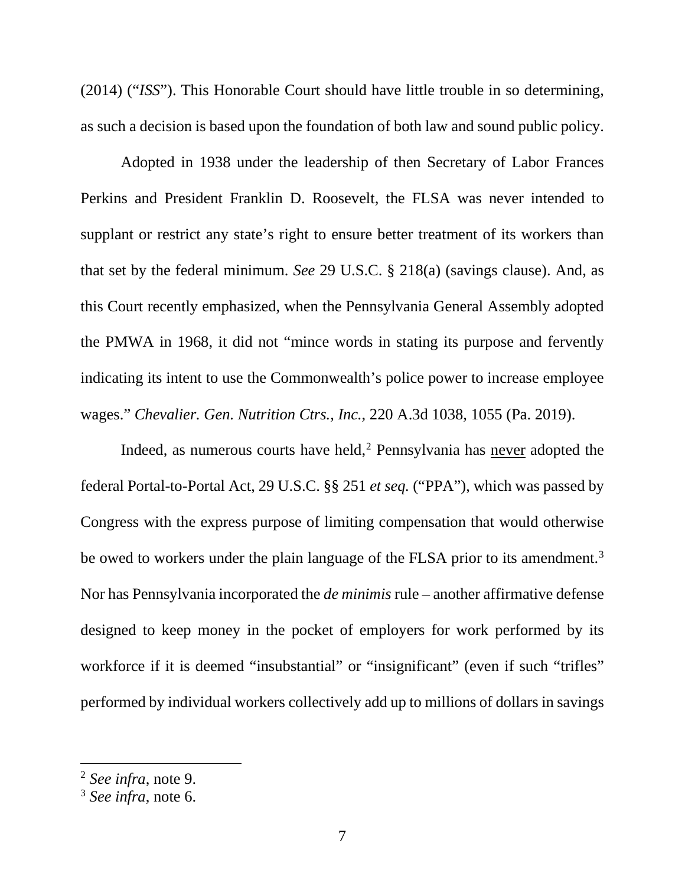(2014) ("*ISS*"). This Honorable Court should have little trouble in so determining, as such a decision is based upon the foundation of both law and sound public policy.

Adopted in 1938 under the leadership of then Secretary of Labor Frances Perkins and President Franklin D. Roosevelt, the FLSA was never intended to supplant or restrict any state's right to ensure better treatment of its workers than that set by the federal minimum. *See* 29 U.S.C. § 218(a) (savings clause). And, as this Court recently emphasized, when the Pennsylvania General Assembly adopted the PMWA in 1968, it did not "mince words in stating its purpose and fervently indicating its intent to use the Commonwealth's police power to increase employee wages." *Chevalier. Gen. Nutrition Ctrs., Inc.*, 220 A.3d 1038, 1055 (Pa. 2019).

Indeed, as numerous courts have held, $2$  Pennsylvania has never adopted the federal Portal-to-Portal Act, 29 U.S.C. §§ 251 *et seq.* ("PPA"), which was passed by Congress with the express purpose of limiting compensation that would otherwise be owed to workers under the plain language of the FLSA prior to its amendment.<sup>3</sup> Nor has Pennsylvania incorporated the *de minimis* rule – another affirmative defense designed to keep money in the pocket of employers for work performed by its workforce if it is deemed "insubstantial" or "insignificant" (even if such "trifles" performed by individual workers collectively add up to millions of dollars in savings

<sup>2</sup> *See infra*, note 9.

<sup>3</sup> *See infra*, note 6.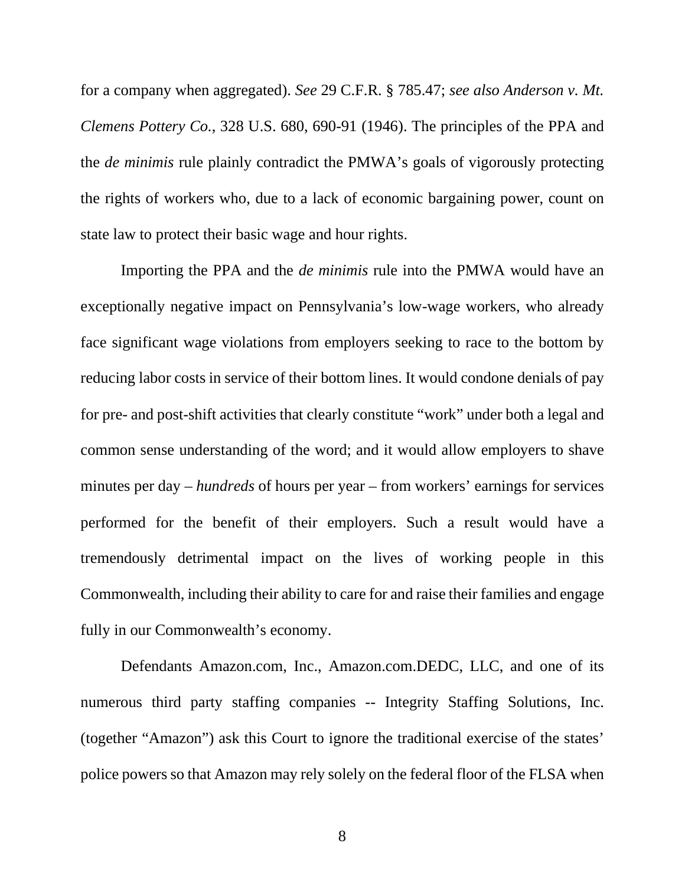for a company when aggregated). *See* 29 C.F.R. § 785.47; *see also Anderson v. Mt. Clemens Pottery Co.*, 328 U.S. 680, 690-91 (1946). The principles of the PPA and the *de minimis* rule plainly contradict the PMWA's goals of vigorously protecting the rights of workers who, due to a lack of economic bargaining power, count on state law to protect their basic wage and hour rights.

Importing the PPA and the *de minimis* rule into the PMWA would have an exceptionally negative impact on Pennsylvania's low-wage workers, who already face significant wage violations from employers seeking to race to the bottom by reducing labor costs in service of their bottom lines. It would condone denials of pay for pre- and post-shift activities that clearly constitute "work" under both a legal and common sense understanding of the word; and it would allow employers to shave minutes per day – *hundreds* of hours per year – from workers' earnings for services performed for the benefit of their employers. Such a result would have a tremendously detrimental impact on the lives of working people in this Commonwealth, including their ability to care for and raise their families and engage fully in our Commonwealth's economy.

Defendants Amazon.com, Inc., Amazon.com.DEDC, LLC, and one of its numerous third party staffing companies -- Integrity Staffing Solutions, Inc. (together "Amazon") ask this Court to ignore the traditional exercise of the states' police powers so that Amazon may rely solely on the federal floor of the FLSA when

8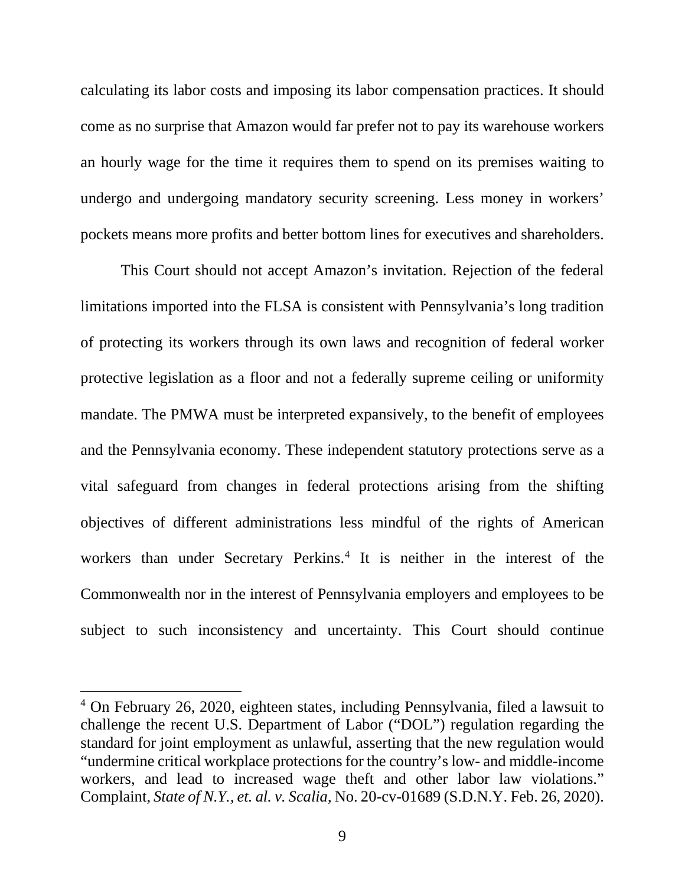calculating its labor costs and imposing its labor compensation practices. It should come as no surprise that Amazon would far prefer not to pay its warehouse workers an hourly wage for the time it requires them to spend on its premises waiting to undergo and undergoing mandatory security screening. Less money in workers' pockets means more profits and better bottom lines for executives and shareholders.

This Court should not accept Amazon's invitation. Rejection of the federal limitations imported into the FLSA is consistent with Pennsylvania's long tradition of protecting its workers through its own laws and recognition of federal worker protective legislation as a floor and not a federally supreme ceiling or uniformity mandate. The PMWA must be interpreted expansively, to the benefit of employees and the Pennsylvania economy. These independent statutory protections serve as a vital safeguard from changes in federal protections arising from the shifting objectives of different administrations less mindful of the rights of American workers than under Secretary Perkins.<sup>4</sup> It is neither in the interest of the Commonwealth nor in the interest of Pennsylvania employers and employees to be subject to such inconsistency and uncertainty. This Court should continue

<sup>4</sup> On February 26, 2020, eighteen states, including Pennsylvania, filed a lawsuit to challenge the recent U.S. Department of Labor ("DOL") regulation regarding the standard for joint employment as unlawful, asserting that the new regulation would "undermine critical workplace protections for the country's low- and middle-income workers, and lead to increased wage theft and other labor law violations." Complaint, *State of N.Y., et. al. v. Scalia*, No. 20-cv-01689 (S.D.N.Y. Feb. 26, 2020).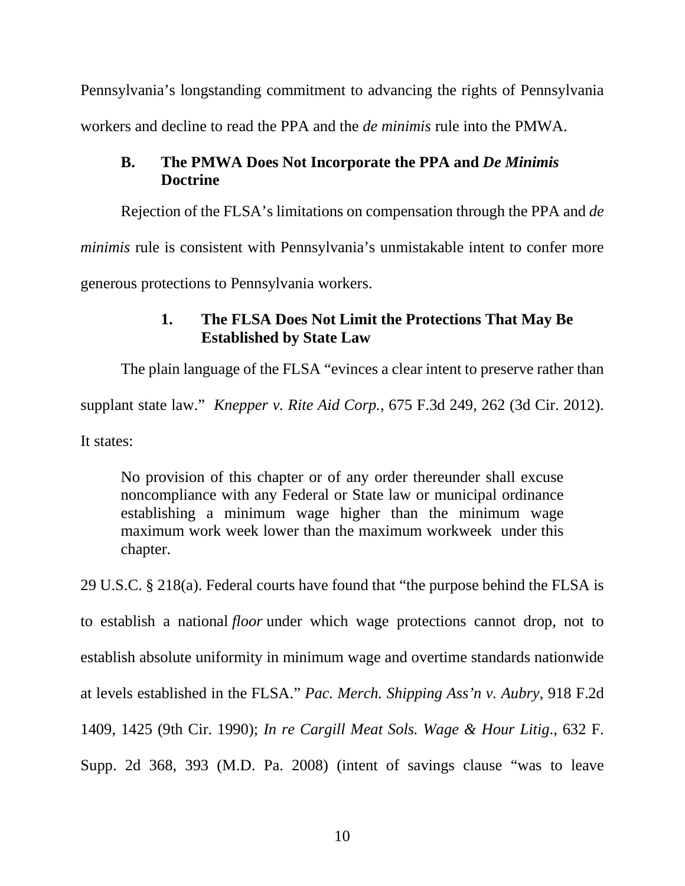Pennsylvania's longstanding commitment to advancing the rights of Pennsylvania workers and decline to read the PPA and the *de minimis* rule into the PMWA.

## **B. The PMWA Does Not Incorporate the PPA and** *De Minimis*  **Doctrine**

Rejection of the FLSA's limitations on compensation through the PPA and *de* 

*minimis* rule is consistent with Pennsylvania's unmistakable intent to confer more

generous protections to Pennsylvania workers.

## **1. The FLSA Does Not Limit the Protections That May Be Established by State Law**

The plain language of the FLSA "evinces a clear intent to preserve rather than

supplant state law." *Knepper v. Rite Aid Corp.*, 675 F.3d 249, 262 (3d Cir. 2012).

It states:

No provision of this chapter or of any order thereunder shall excuse noncompliance with any Federal or State law or municipal ordinance establishing a minimum wage higher than the minimum wage maximum work week lower than the maximum workweek under this chapter.

29 U.S.C. § 218(a). Federal courts have found that "the purpose behind the FLSA is to establish a national *floor* under which wage protections cannot drop, not to establish absolute uniformity in minimum wage and overtime standards nationwide at levels established in the FLSA." *Pac. Merch. Shipping Ass'n v. Aubry*, 918 F.2d 1409, 1425 (9th Cir. 1990); *In re Cargill Meat Sols. Wage & Hour Litig*., 632 F. Supp. 2d 368, 393 (M.D. Pa. 2008) (intent of savings clause "was to leave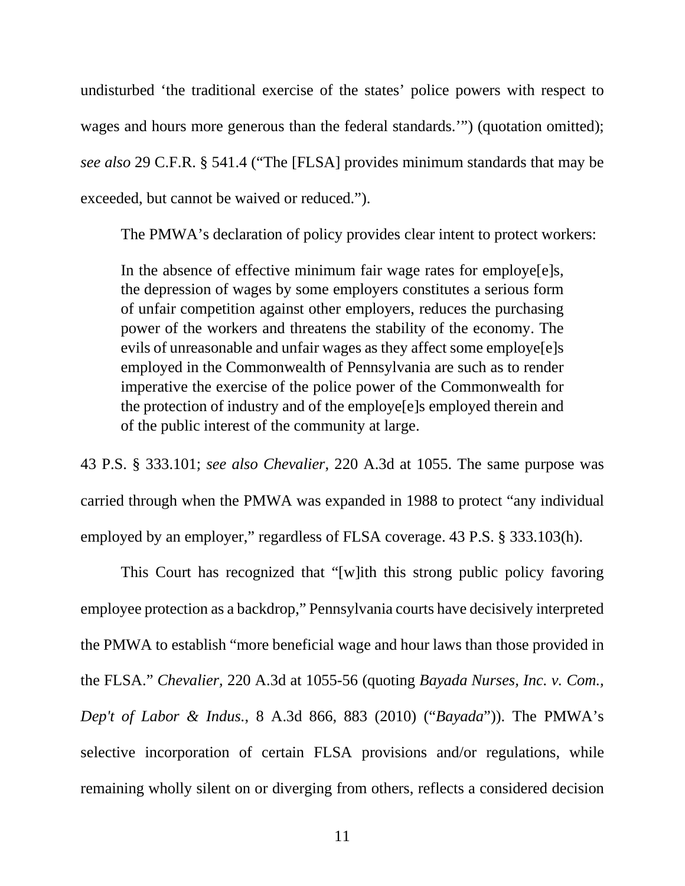undisturbed 'the traditional exercise of the states' police powers with respect to wages and hours more generous than the federal standards.'") (quotation omitted); *see also* 29 C.F.R. § 541.4 ("The [FLSA] provides minimum standards that may be exceeded, but cannot be waived or reduced.").

The PMWA's declaration of policy provides clear intent to protect workers:

In the absence of effective minimum fair wage rates for employe [e]s, the depression of wages by some employers constitutes a serious form of unfair competition against other employers, reduces the purchasing power of the workers and threatens the stability of the economy. The evils of unreasonable and unfair wages as they affect some employe[e]s employed in the Commonwealth of Pennsylvania are such as to render imperative the exercise of the police power of the Commonwealth for the protection of industry and of the employe[e]s employed therein and of the public interest of the community at large.

43 P.S. § 333.101; *see also Chevalier*, 220 A.3d at 1055. The same purpose was carried through when the PMWA was expanded in 1988 to protect "any individual employed by an employer," regardless of FLSA coverage. 43 P.S. § 333.103(h).

This Court has recognized that "[w]ith this strong public policy favoring employee protection as a backdrop," Pennsylvania courts have decisively interpreted the PMWA to establish "more beneficial wage and hour laws than those provided in the FLSA." *Chevalier,* 220 A.3d at 1055-56 (quoting *Bayada Nurses, Inc. v. Com., Dep't of Labor & Indus.*, 8 A.3d 866, 883 (2010) ("*Bayada*")). The PMWA's selective incorporation of certain FLSA provisions and/or regulations, while remaining wholly silent on or diverging from others, reflects a considered decision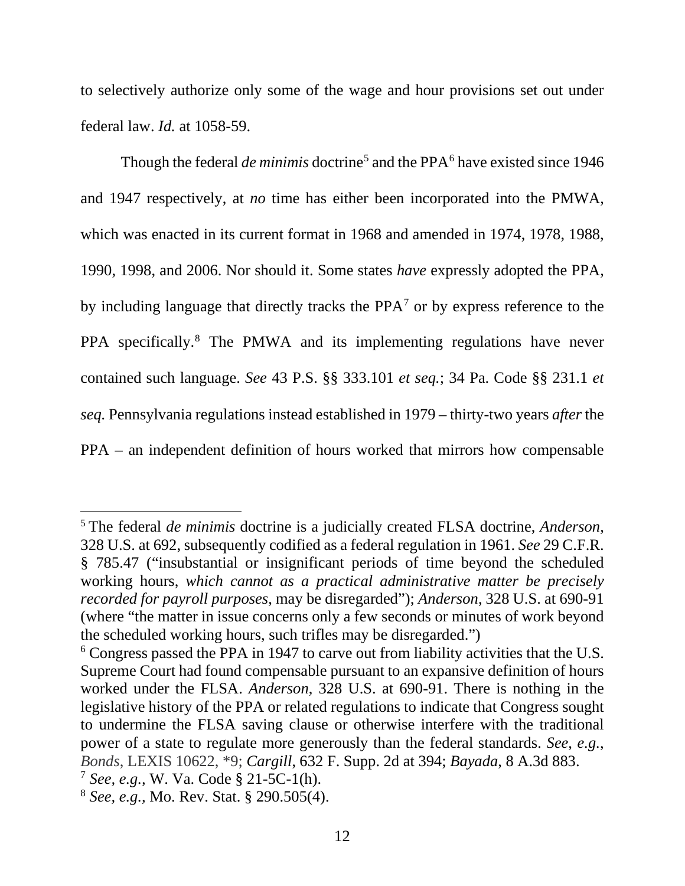to selectively authorize only some of the wage and hour provisions set out under federal law. *Id.* at 1058-59.

Though the federal *de minimis* doctrine<sup>5</sup> and the PPA<sup>6</sup> have existed since 1946 and 1947 respectively, at *no* time has either been incorporated into the PMWA, which was enacted in its current format in 1968 and amended in 1974, 1978, 1988, 1990, 1998, and 2006. Nor should it. Some states *have* expressly adopted the PPA, by including language that directly tracks the PPA7 or by express reference to the PPA specifically.<sup>8</sup> The PMWA and its implementing regulations have never contained such language. *See* 43 P.S. §§ 333.101 *et seq.*; 34 Pa. Code §§ 231.1 *et seq.* Pennsylvania regulations instead established in 1979 – thirty-two years *after* the PPA – an independent definition of hours worked that mirrors how compensable

<sup>5</sup> The federal *de minimis* doctrine is a judicially created FLSA doctrine, *Anderson*, 328 U.S. at 692, subsequently codified as a federal regulation in 1961. *See* 29 C.F.R. § 785.47 ("insubstantial or insignificant periods of time beyond the scheduled working hours, *which cannot as a practical administrative matter be precisely recorded for payroll purposes*, may be disregarded"); *Anderson*, 328 U.S. at 690-91 (where "the matter in issue concerns only a few seconds or minutes of work beyond the scheduled working hours, such trifles may be disregarded.")

<sup>&</sup>lt;sup>6</sup> Congress passed the PPA in 1947 to carve out from liability activities that the U.S. Supreme Court had found compensable pursuant to an expansive definition of hours worked under the FLSA. *Anderson*, 328 U.S. at 690-91. There is nothing in the legislative history of the PPA or related regulations to indicate that Congress sought to undermine the FLSA saving clause or otherwise interfere with the traditional power of a state to regulate more generously than the federal standards. *See*, *e.g.*, *Bonds*, LEXIS 10622, \*9; *Cargill*, 632 F. Supp. 2d at 394; *Bayada*, 8 A.3d 883.

<sup>7</sup> *See, e.g.,* W. Va. Code § 21-5C-1(h).

<sup>8</sup> *See, e.g.,* Mo. Rev. Stat. § 290.505(4).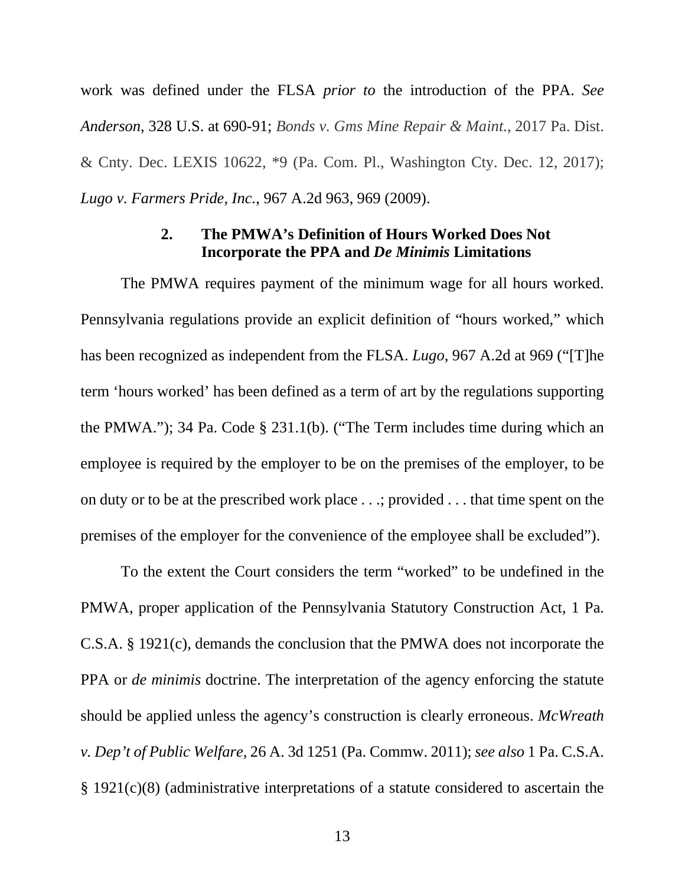work was defined under the FLSA *prior to* the introduction of the PPA. *See Anderson*, 328 U.S. at 690-91; *Bonds v. Gms Mine Repair & Maint.*, 2017 Pa. Dist. & Cnty. Dec. LEXIS 10622, \*9 (Pa. Com. Pl., Washington Cty. Dec. 12, 2017); *Lugo v. Farmers Pride, Inc.*, 967 A.2d 963, 969 (2009).

#### **2. The PMWA's Definition of Hours Worked Does Not Incorporate the PPA and** *De Minimis* **Limitations**

The PMWA requires payment of the minimum wage for all hours worked. Pennsylvania regulations provide an explicit definition of "hours worked," which has been recognized as independent from the FLSA. *Lugo*, 967 A.2d at 969 ("[T]he term 'hours worked' has been defined as a term of art by the regulations supporting the PMWA."); 34 Pa. Code § 231.1(b). ("The Term includes time during which an employee is required by the employer to be on the premises of the employer, to be on duty or to be at the prescribed work place . . .; provided . . . that time spent on the premises of the employer for the convenience of the employee shall be excluded").

To the extent the Court considers the term "worked" to be undefined in the PMWA, proper application of the Pennsylvania Statutory Construction Act, 1 Pa. C.S.A. § 1921(c), demands the conclusion that the PMWA does not incorporate the PPA or *de minimis* doctrine. The interpretation of the agency enforcing the statute should be applied unless the agency's construction is clearly erroneous. *McWreath v. Dep't of Public Welfare,* 26 A. 3d 1251 (Pa. Commw. 2011); *see also* 1 Pa. C.S.A. § 1921(c)(8) (administrative interpretations of a statute considered to ascertain the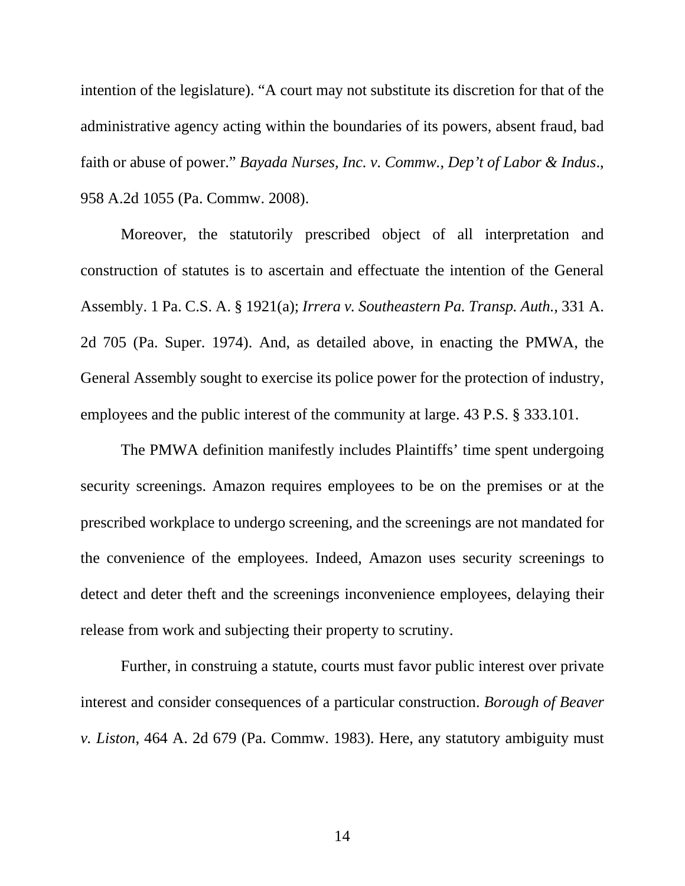intention of the legislature). "A court may not substitute its discretion for that of the administrative agency acting within the boundaries of its powers, absent fraud, bad faith or abuse of power." *Bayada Nurses, Inc. v. Commw., Dep't of Labor & Indus*., 958 A.2d 1055 (Pa. Commw. 2008).

Moreover, the statutorily prescribed object of all interpretation and construction of statutes is to ascertain and effectuate the intention of the General Assembly. 1 Pa. C.S. A. § 1921(a); *Irrera v. Southeastern Pa. Transp. Auth.,* 331 A. 2d 705 (Pa. Super. 1974). And, as detailed above, in enacting the PMWA, the General Assembly sought to exercise its police power for the protection of industry, employees and the public interest of the community at large. 43 P.S. § 333.101.

The PMWA definition manifestly includes Plaintiffs' time spent undergoing security screenings. Amazon requires employees to be on the premises or at the prescribed workplace to undergo screening, and the screenings are not mandated for the convenience of the employees. Indeed, Amazon uses security screenings to detect and deter theft and the screenings inconvenience employees, delaying their release from work and subjecting their property to scrutiny.

Further, in construing a statute, courts must favor public interest over private interest and consider consequences of a particular construction. *Borough of Beaver v. Liston*, 464 A. 2d 679 (Pa. Commw. 1983). Here, any statutory ambiguity must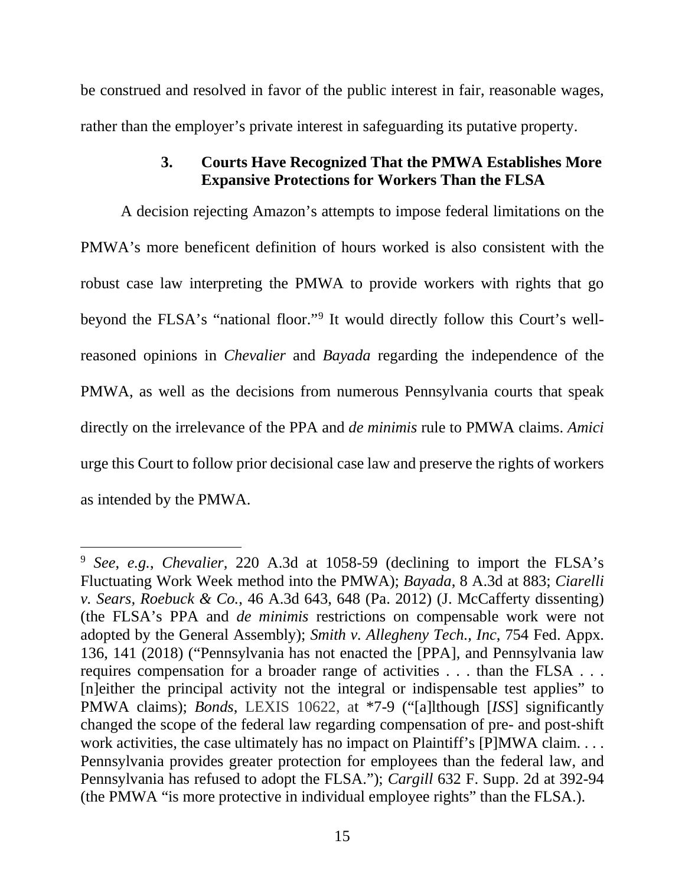be construed and resolved in favor of the public interest in fair, reasonable wages, rather than the employer's private interest in safeguarding its putative property.

## **3. Courts Have Recognized That the PMWA Establishes More Expansive Protections for Workers Than the FLSA**

A decision rejecting Amazon's attempts to impose federal limitations on the PMWA's more beneficent definition of hours worked is also consistent with the robust case law interpreting the PMWA to provide workers with rights that go beyond the FLSA's "national floor."9 It would directly follow this Court's wellreasoned opinions in *Chevalier* and *Bayada* regarding the independence of the PMWA, as well as the decisions from numerous Pennsylvania courts that speak directly on the irrelevance of the PPA and *de minimis* rule to PMWA claims. *Amici* urge this Court to follow prior decisional case law and preserve the rights of workers as intended by the PMWA.

<sup>9</sup> *See*, *e.g.*, *Chevalier,* 220 A.3d at 1058-59 (declining to import the FLSA's Fluctuating Work Week method into the PMWA); *Bayada*, 8 A.3d at 883; *Ciarelli v. Sears, Roebuck & Co.*, 46 A.3d 643, 648 (Pa. 2012) (J. McCafferty dissenting) (the FLSA's PPA and *de minimis* restrictions on compensable work were not adopted by the General Assembly); *Smith v. Allegheny Tech., Inc*, 754 Fed. Appx. 136, 141 (2018) ("Pennsylvania has not enacted the [PPA], and Pennsylvania law requires compensation for a broader range of activities . . . than the FLSA . . . [n]either the principal activity not the integral or indispensable test applies" to PMWA claims); *Bonds*, LEXIS 10622, at \*7-9 ("[a]lthough [*ISS*] significantly changed the scope of the federal law regarding compensation of pre- and post-shift work activities, the case ultimately has no impact on Plaintiff's [P]MWA claim. . . . Pennsylvania provides greater protection for employees than the federal law, and Pennsylvania has refused to adopt the FLSA."); *Cargill* 632 F. Supp. 2d at 392-94 (the PMWA "is more protective in individual employee rights" than the FLSA.).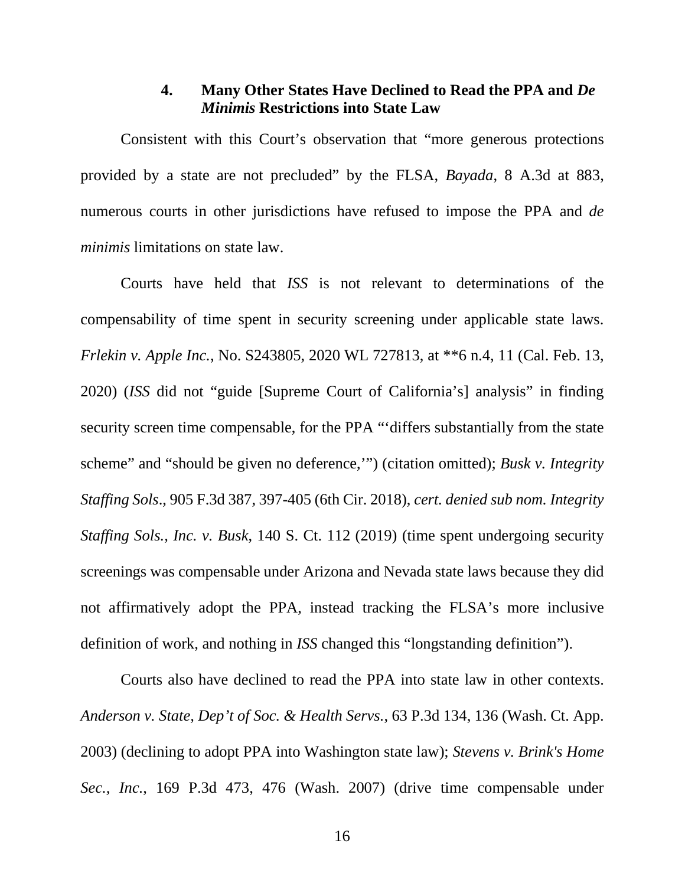#### **4. Many Other States Have Declined to Read the PPA and** *De Minimis* **Restrictions into State Law**

Consistent with this Court's observation that "more generous protections provided by a state are not precluded" by the FLSA, *Bayada*, 8 A.3d at 883, numerous courts in other jurisdictions have refused to impose the PPA and *de minimis* limitations on state law.

Courts have held that *ISS* is not relevant to determinations of the compensability of time spent in security screening under applicable state laws. *Frlekin v. Apple Inc.*, No. S243805, 2020 WL 727813, at \*\*6 n.4, 11 (Cal. Feb. 13, 2020) (*ISS* did not "guide [Supreme Court of California's] analysis" in finding security screen time compensable, for the PPA "'differs substantially from the state scheme" and "should be given no deference,'") (citation omitted); *Busk v. Integrity Staffing Sols*., 905 F.3d 387, 397-405 (6th Cir. 2018), *cert. denied sub nom. Integrity Staffing Sols., Inc. v. Busk*, 140 S. Ct. 112 (2019) (time spent undergoing security screenings was compensable under Arizona and Nevada state laws because they did not affirmatively adopt the PPA, instead tracking the FLSA's more inclusive definition of work, and nothing in *ISS* changed this "longstanding definition").

Courts also have declined to read the PPA into state law in other contexts. *Anderson v. State, Dep't of Soc. & Health Servs.*, 63 P.3d 134, 136 (Wash. Ct. App. 2003) (declining to adopt PPA into Washington state law); *Stevens v. Brink's Home Sec., Inc.*, 169 P.3d 473, 476 (Wash. 2007) (drive time compensable under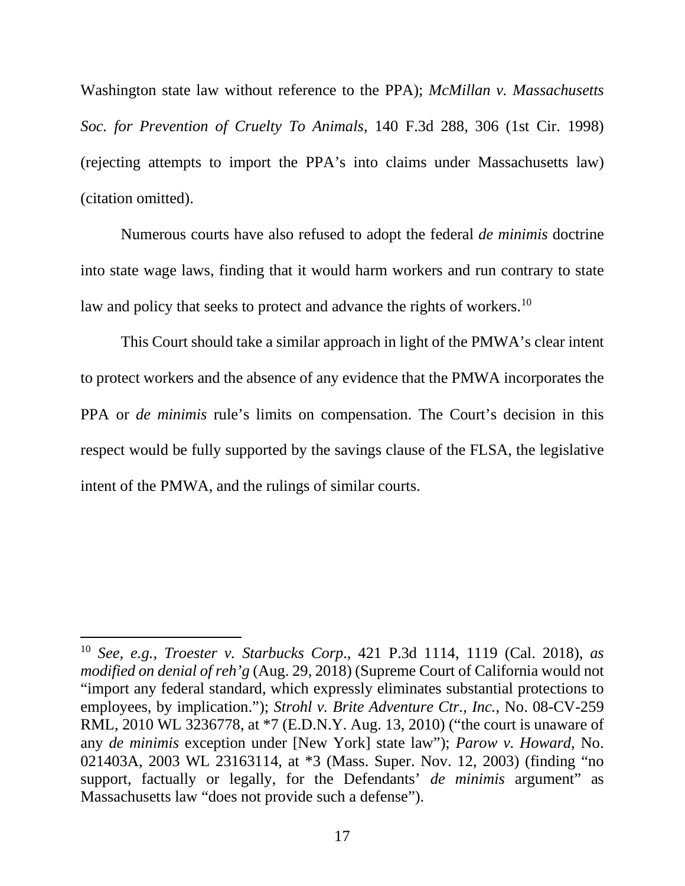Washington state law without reference to the PPA); *McMillan v. Massachusetts Soc. for Prevention of Cruelty To Animals*, 140 F.3d 288, 306 (1st Cir. 1998) (rejecting attempts to import the PPA's into claims under Massachusetts law) (citation omitted).

Numerous courts have also refused to adopt the federal *de minimis* doctrine into state wage laws, finding that it would harm workers and run contrary to state law and policy that seeks to protect and advance the rights of workers.<sup>10</sup>

This Court should take a similar approach in light of the PMWA's clear intent to protect workers and the absence of any evidence that the PMWA incorporates the PPA or *de minimis* rule's limits on compensation. The Court's decision in this respect would be fully supported by the savings clause of the FLSA, the legislative intent of the PMWA, and the rulings of similar courts.

<sup>10</sup> *See, e.g., Troester v. Starbucks Corp*., 421 P.3d 1114, 1119 (Cal. 2018), *as modified on denial of reh'g* (Aug. 29, 2018) (Supreme Court of California would not "import any federal standard, which expressly eliminates substantial protections to employees, by implication."); *Strohl v. Brite Adventure Ctr., Inc.*, No. 08-CV-259 RML, 2010 WL 3236778, at \*7 (E.D.N.Y. Aug. 13, 2010) ("the court is unaware of any *de minimis* exception under [New York] state law"); *Parow v. Howard*, No. 021403A, 2003 WL 23163114, at \*3 (Mass. Super. Nov. 12, 2003) (finding "no support, factually or legally, for the Defendants' *de minimis* argument" as Massachusetts law "does not provide such a defense").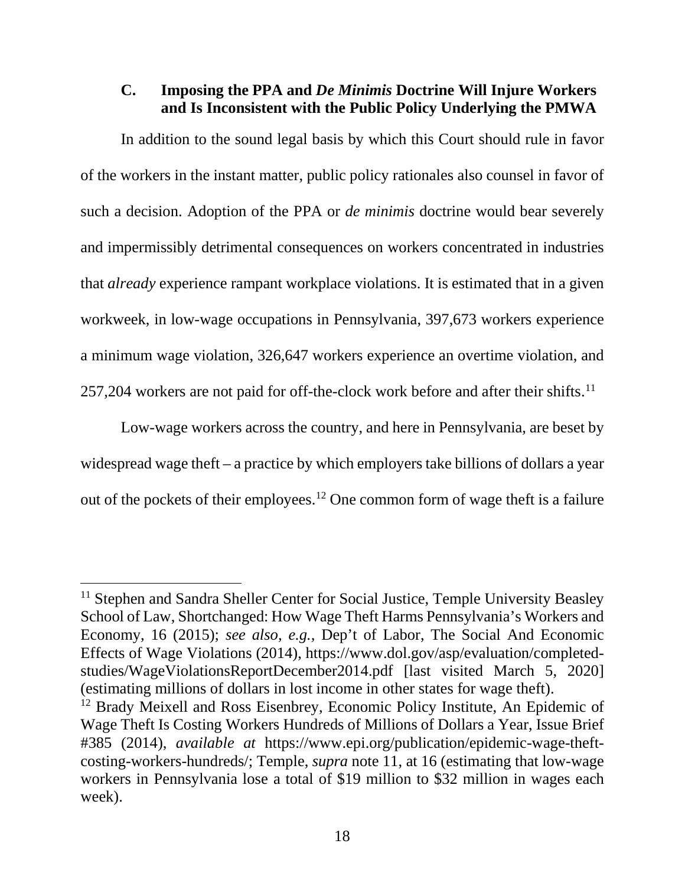**C. Imposing the PPA and** *De Minimis* **Doctrine Will Injure Workers and Is Inconsistent with the Public Policy Underlying the PMWA**

In addition to the sound legal basis by which this Court should rule in favor of the workers in the instant matter, public policy rationales also counsel in favor of such a decision. Adoption of the PPA or *de minimis* doctrine would bear severely and impermissibly detrimental consequences on workers concentrated in industries that *already* experience rampant workplace violations. It is estimated that in a given workweek, in low-wage occupations in Pennsylvania, 397,673 workers experience a minimum wage violation, 326,647 workers experience an overtime violation, and 257,204 workers are not paid for off-the-clock work before and after their shifts.<sup>11</sup>

Low-wage workers across the country, and here in Pennsylvania, are beset by widespread wage theft – a practice by which employers take billions of dollars a year out of the pockets of their employees.12 One common form of wage theft is a failure

<sup>&</sup>lt;sup>11</sup> Stephen and Sandra Sheller Center for Social Justice, Temple University Beasley School of Law, Shortchanged: How Wage Theft Harms Pennsylvania's Workers and Economy, 16 (2015); *see also, e.g.,* Dep't of Labor, The Social And Economic Effects of Wage Violations (2014), https://www.dol.gov/asp/evaluation/completedstudies/WageViolationsReportDecember2014.pdf [last visited March 5, 2020] (estimating millions of dollars in lost income in other states for wage theft).

<sup>&</sup>lt;sup>12</sup> Brady Meixell and Ross Eisenbrey, Economic Policy Institute, An Epidemic of Wage Theft Is Costing Workers Hundreds of Millions of Dollars a Year, Issue Brief #385 (2014), *available at* https://www.epi.org/publication/epidemic-wage-theftcosting-workers-hundreds/; Temple, *supra* note 11, at 16 (estimating that low-wage workers in Pennsylvania lose a total of \$19 million to \$32 million in wages each week).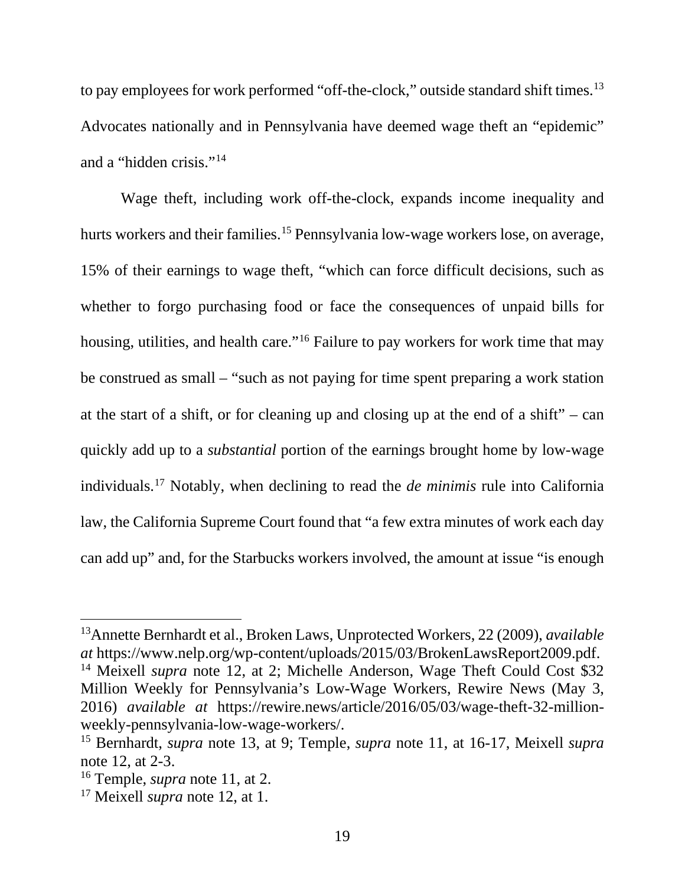to pay employees for work performed "off-the-clock," outside standard shift times.<sup>13</sup> Advocates nationally and in Pennsylvania have deemed wage theft an "epidemic" and a "hidden crisis."14

Wage theft, including work off-the-clock, expands income inequality and hurts workers and their families.<sup>15</sup> Pennsylvania low-wage workers lose, on average, 15% of their earnings to wage theft, "which can force difficult decisions, such as whether to forgo purchasing food or face the consequences of unpaid bills for housing, utilities, and health care."<sup>16</sup> Failure to pay workers for work time that may be construed as small – "such as not paying for time spent preparing a work station at the start of a shift, or for cleaning up and closing up at the end of a shift" – can quickly add up to a *substantial* portion of the earnings brought home by low-wage individuals.17 Notably, when declining to read the *de minimis* rule into California law, the California Supreme Court found that "a few extra minutes of work each day can add up" and, for the Starbucks workers involved, the amount at issue "is enough

<sup>13</sup>Annette Bernhardt et al., Broken Laws, Unprotected Workers, 22 (2009), *available at* https://www.nelp.org/wp-content/uploads/2015/03/BrokenLawsReport2009.pdf.

<sup>&</sup>lt;sup>14</sup> Meixell *supra* note 12, at 2; Michelle Anderson, Wage Theft Could Cost \$32 Million Weekly for Pennsylvania's Low-Wage Workers, Rewire News (May 3, 2016) *available at* https://rewire.news/article/2016/05/03/wage-theft-32-millionweekly-pennsylvania-low-wage-workers/.

<sup>15</sup> Bernhardt, *supra* note 13, at 9; Temple, *supra* note 11, at 16-17, Meixell *supra* note 12, at 2-3.

<sup>16</sup> Temple, *supra* note 11, at 2.

<sup>17</sup> Meixell *supra* note 12, at 1.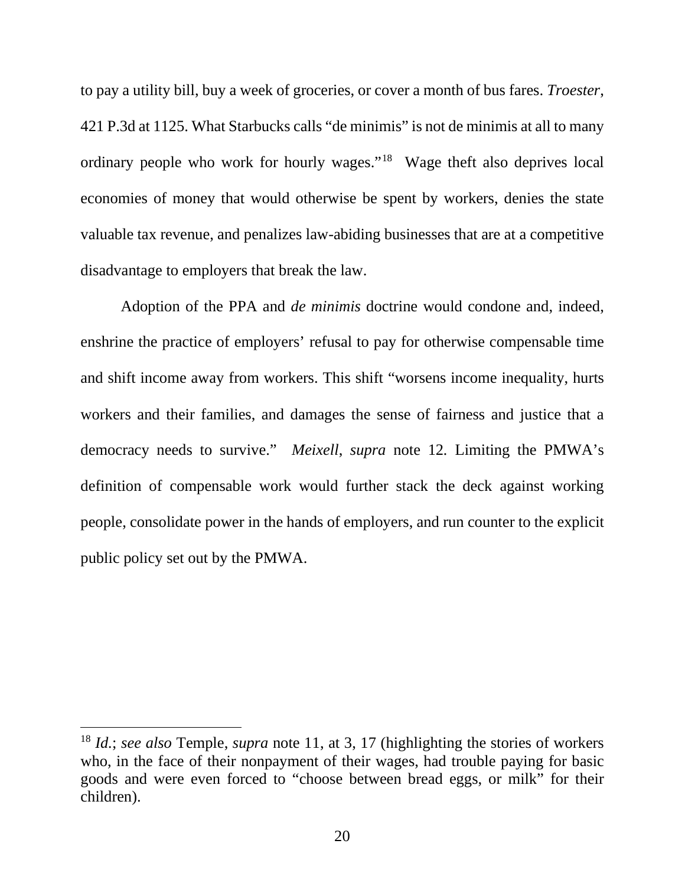to pay a utility bill, buy a week of groceries, or cover a month of bus fares. *Troester*, 421 P.3d at 1125. What Starbucks calls "de minimis" is not de minimis at all to many ordinary people who work for hourly wages."18 Wage theft also deprives local economies of money that would otherwise be spent by workers, denies the state valuable tax revenue, and penalizes law-abiding businesses that are at a competitive disadvantage to employers that break the law.

Adoption of the PPA and *de minimis* doctrine would condone and, indeed, enshrine the practice of employers' refusal to pay for otherwise compensable time and shift income away from workers. This shift "worsens income inequality, hurts workers and their families, and damages the sense of fairness and justice that a democracy needs to survive." *Meixell*, *supra* note 12*.* Limiting the PMWA's definition of compensable work would further stack the deck against working people, consolidate power in the hands of employers, and run counter to the explicit public policy set out by the PMWA.

<sup>18</sup> *Id.*; *see also* Temple, *supra* note 11, at 3, 17 (highlighting the stories of workers who, in the face of their nonpayment of their wages, had trouble paying for basic goods and were even forced to "choose between bread eggs, or milk" for their children).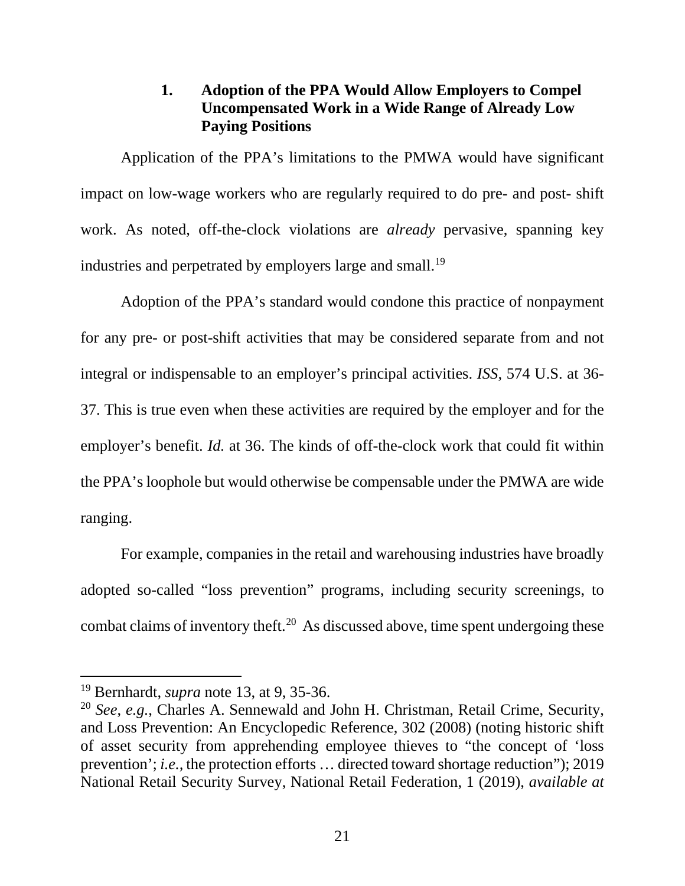### **1. Adoption of the PPA Would Allow Employers to Compel Uncompensated Work in a Wide Range of Already Low Paying Positions**

Application of the PPA's limitations to the PMWA would have significant impact on low-wage workers who are regularly required to do pre- and post- shift work. As noted, off-the-clock violations are *already* pervasive, spanning key industries and perpetrated by employers large and small.<sup>19</sup>

Adoption of the PPA's standard would condone this practice of nonpayment for any pre- or post-shift activities that may be considered separate from and not integral or indispensable to an employer's principal activities. *ISS*, 574 U.S. at 36- 37. This is true even when these activities are required by the employer and for the employer's benefit. *Id.* at 36. The kinds of off-the-clock work that could fit within the PPA's loophole but would otherwise be compensable under the PMWA are wide ranging.

For example, companies in the retail and warehousing industries have broadly adopted so-called "loss prevention" programs, including security screenings, to combat claims of inventory theft.<sup>20</sup> As discussed above, time spent undergoing these

<sup>19</sup> Bernhardt, *supra* note 13, at 9, 35-36.

<sup>20</sup> *See*, *e.g.*, Charles A. Sennewald and John H. Christman, Retail Crime, Security, and Loss Prevention: An Encyclopedic Reference, 302 (2008) (noting historic shift of asset security from apprehending employee thieves to "the concept of 'loss prevention'; *i.e.,* the protection efforts … directed toward shortage reduction"); 2019 National Retail Security Survey, National Retail Federation, 1 (2019), *available at*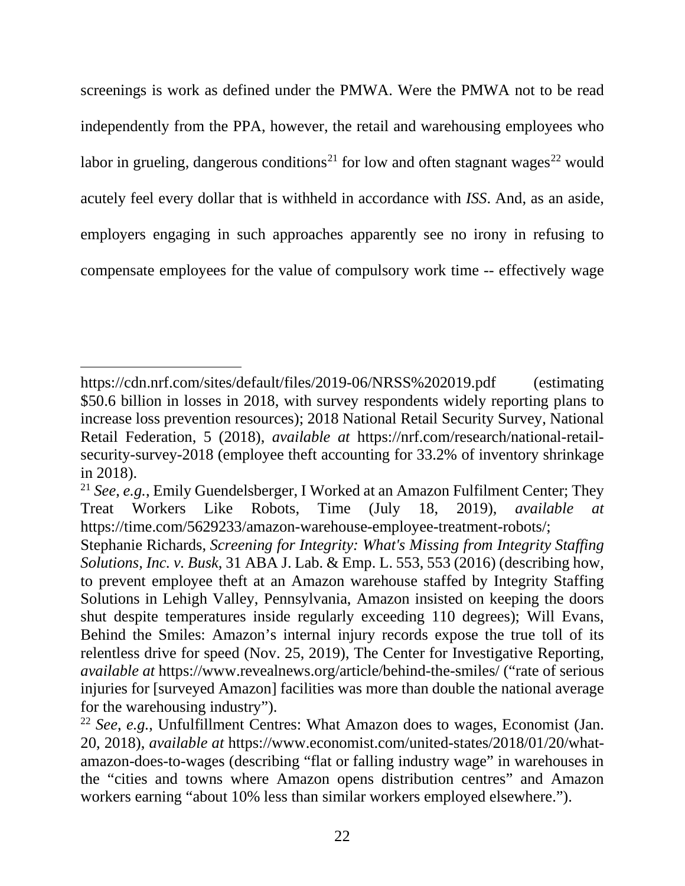screenings is work as defined under the PMWA. Were the PMWA not to be read independently from the PPA, however, the retail and warehousing employees who labor in grueling, dangerous conditions<sup>21</sup> for low and often stagnant wages<sup>22</sup> would acutely feel every dollar that is withheld in accordance with *ISS*. And, as an aside, employers engaging in such approaches apparently see no irony in refusing to compensate employees for the value of compulsory work time -- effectively wage

https://cdn.nrf.com/sites/default/files/2019-06/NRSS%202019.pdf (estimating \$50.6 billion in losses in 2018, with survey respondents widely reporting plans to increase loss prevention resources); 2018 National Retail Security Survey, National Retail Federation, 5 (2018), *available at* https://nrf.com/research/national-retailsecurity-survey-2018 (employee theft accounting for 33.2% of inventory shrinkage in 2018).

<sup>21</sup> *See*, *e.g.*, Emily Guendelsberger, I Worked at an Amazon Fulfilment Center; They Treat Workers Like Robots, Time (July 18, 2019), *available at* https://time.com/5629233/amazon-warehouse-employee-treatment-robots/;

Stephanie Richards, *Screening for Integrity: What's Missing from Integrity Staffing Solutions, Inc. v. Busk*, 31 ABA J. Lab. & Emp. L. 553, 553 (2016) (describing how, to prevent employee theft at an Amazon warehouse staffed by Integrity Staffing Solutions in Lehigh Valley, Pennsylvania, Amazon insisted on keeping the doors shut despite temperatures inside regularly exceeding 110 degrees); Will Evans, Behind the Smiles: Amazon's internal injury records expose the true toll of its relentless drive for speed (Nov. 25, 2019), The Center for Investigative Reporting, *available at* https://www.revealnews.org/article/behind-the-smiles/ ("rate of serious injuries for [surveyed Amazon] facilities was more than double the national average for the warehousing industry").

<sup>22</sup> *See*, *e.g.*, Unfulfillment Centres: What Amazon does to wages, Economist (Jan. 20, 2018), *available at* https://www.economist.com/united-states/2018/01/20/whatamazon-does-to-wages (describing "flat or falling industry wage" in warehouses in the "cities and towns where Amazon opens distribution centres" and Amazon workers earning "about 10% less than similar workers employed elsewhere.").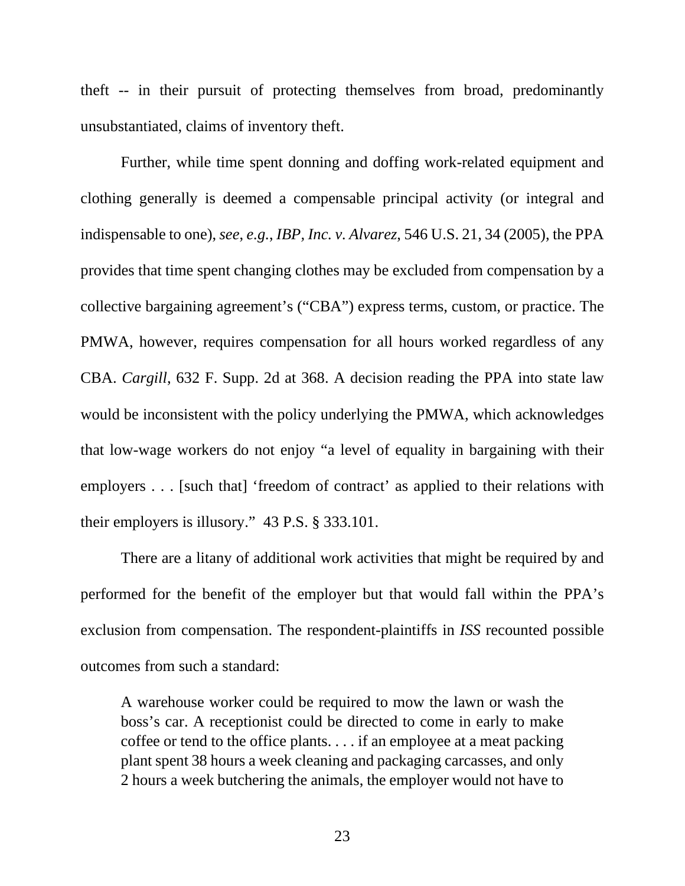theft -- in their pursuit of protecting themselves from broad, predominantly unsubstantiated, claims of inventory theft.

Further, while time spent donning and doffing work-related equipment and clothing generally is deemed a compensable principal activity (or integral and indispensable to one), *see*, *e.g.*, *IBP, Inc. v. Alvarez*, 546 U.S. 21, 34 (2005), the PPA provides that time spent changing clothes may be excluded from compensation by a collective bargaining agreement's ("CBA") express terms, custom, or practice. The PMWA, however, requires compensation for all hours worked regardless of any CBA. *Cargill*, 632 F. Supp. 2d at 368. A decision reading the PPA into state law would be inconsistent with the policy underlying the PMWA, which acknowledges that low-wage workers do not enjoy "a level of equality in bargaining with their employers . . . [such that] 'freedom of contract' as applied to their relations with their employers is illusory." 43 P.S. § 333.101.

There are a litany of additional work activities that might be required by and performed for the benefit of the employer but that would fall within the PPA's exclusion from compensation. The respondent-plaintiffs in *ISS* recounted possible outcomes from such a standard:

A warehouse worker could be required to mow the lawn or wash the boss's car. A receptionist could be directed to come in early to make coffee or tend to the office plants. . . . if an employee at a meat packing plant spent 38 hours a week cleaning and packaging carcasses, and only 2 hours a week butchering the animals, the employer would not have to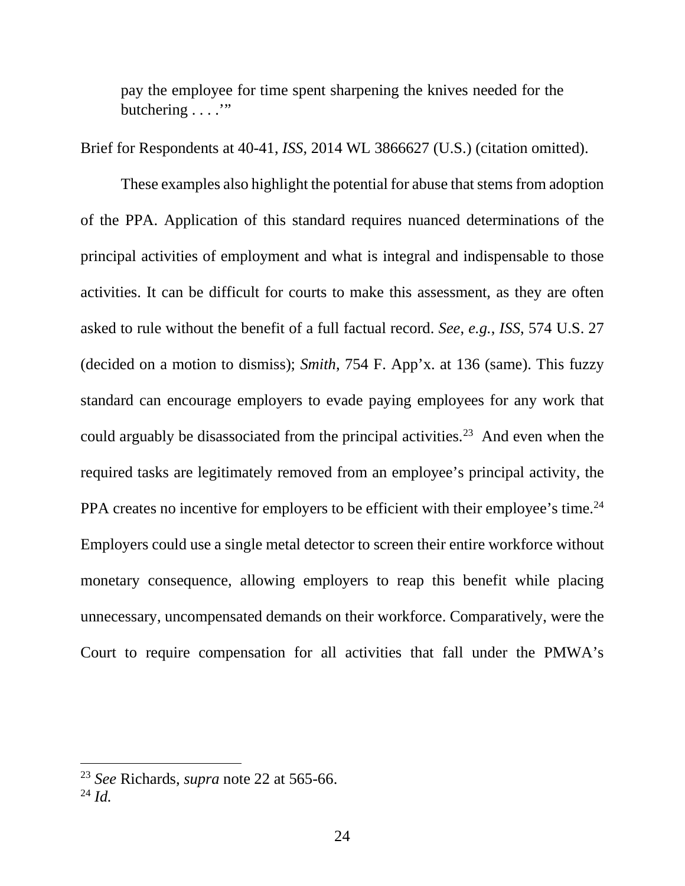pay the employee for time spent sharpening the knives needed for the butchering . . . ."

Brief for Respondents at 40-41, *ISS*, 2014 WL 3866627 (U.S.) (citation omitted).

These examples also highlight the potential for abuse that stems from adoption of the PPA. Application of this standard requires nuanced determinations of the principal activities of employment and what is integral and indispensable to those activities. It can be difficult for courts to make this assessment, as they are often asked to rule without the benefit of a full factual record. *See*, *e.g.*, *ISS*, 574 U.S. 27 (decided on a motion to dismiss); *Smith*, 754 F. App'x. at 136 (same). This fuzzy standard can encourage employers to evade paying employees for any work that could arguably be disassociated from the principal activities.<sup>23</sup> And even when the required tasks are legitimately removed from an employee's principal activity, the PPA creates no incentive for employers to be efficient with their employee's time.<sup>24</sup> Employers could use a single metal detector to screen their entire workforce without monetary consequence, allowing employers to reap this benefit while placing unnecessary, uncompensated demands on their workforce. Comparatively, were the Court to require compensation for all activities that fall under the PMWA's

<sup>23</sup> *See* Richards, *supra* note 22 at 565-66.

<sup>24</sup> *Id.*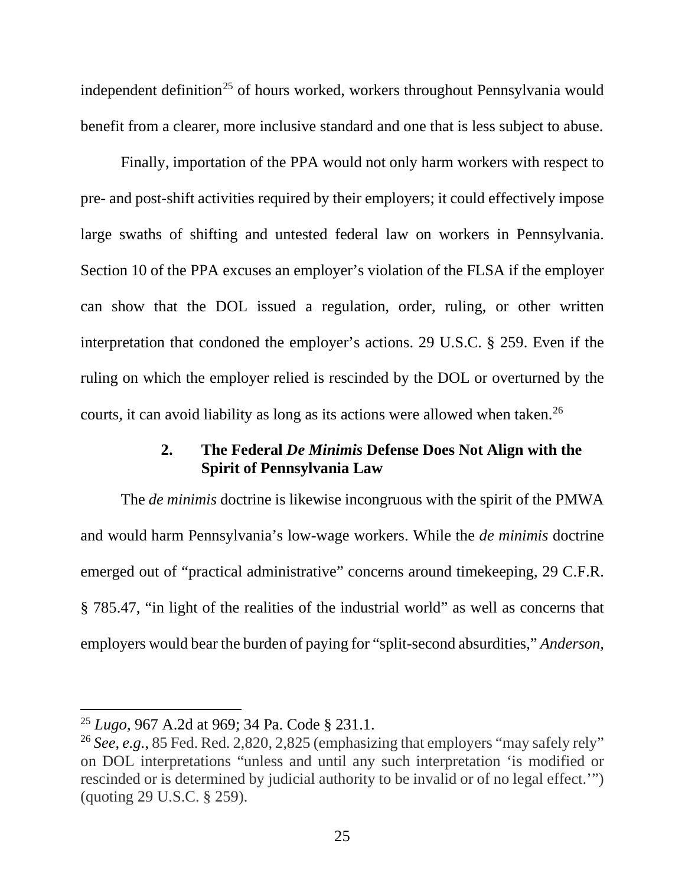independent definition<sup>25</sup> of hours worked, workers throughout Pennsylvania would benefit from a clearer, more inclusive standard and one that is less subject to abuse.

Finally, importation of the PPA would not only harm workers with respect to pre- and post-shift activities required by their employers; it could effectively impose large swaths of shifting and untested federal law on workers in Pennsylvania. Section 10 of the PPA excuses an employer's violation of the FLSA if the employer can show that the DOL issued a regulation, order, ruling, or other written interpretation that condoned the employer's actions. 29 U.S.C. § 259. Even if the ruling on which the employer relied is rescinded by the DOL or overturned by the courts, it can avoid liability as long as its actions were allowed when taken.<sup>26</sup>

#### **2. The Federal** *De Minimis* **Defense Does Not Align with the Spirit of Pennsylvania Law**

The *de minimis* doctrine is likewise incongruous with the spirit of the PMWA and would harm Pennsylvania's low-wage workers. While the *de minimis* doctrine emerged out of "practical administrative" concerns around timekeeping, 29 C.F.R. § 785.47, "in light of the realities of the industrial world" as well as concerns that employers would bear the burden of paying for "split-second absurdities," *Anderson,*

<sup>25</sup> *Lugo*, 967 A.2d at 969; 34 Pa. Code § 231.1.

<sup>26</sup> *See*, *e.g.*, 85 Fed. Red. 2,820, 2,825 (emphasizing that employers "may safely rely" on DOL interpretations "unless and until any such interpretation 'is modified or rescinded or is determined by judicial authority to be invalid or of no legal effect.'") (quoting 29 U.S.C. § 259).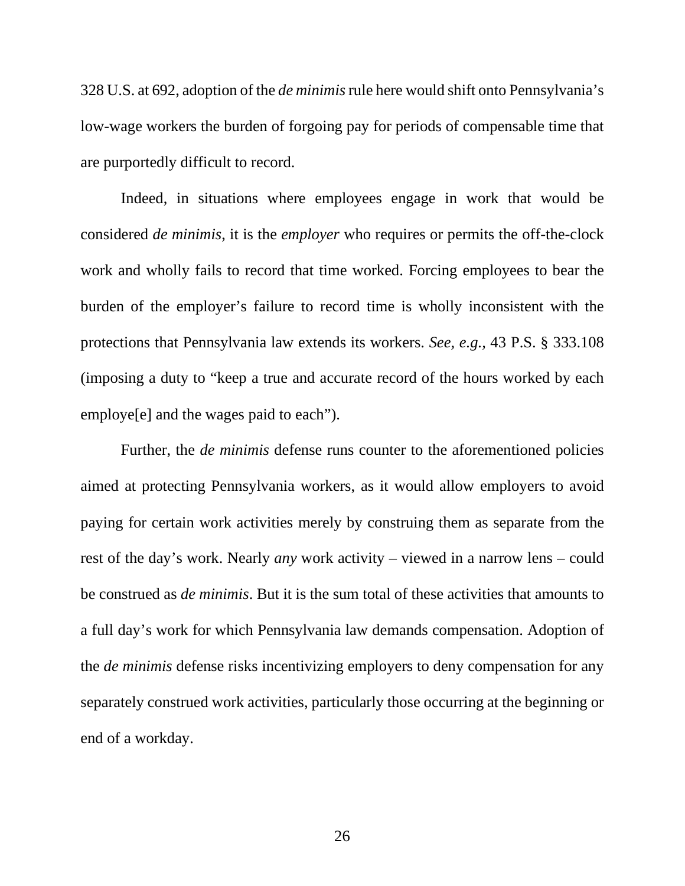328 U.S. at 692, adoption of the *de minimis* rule here would shift onto Pennsylvania's low-wage workers the burden of forgoing pay for periods of compensable time that are purportedly difficult to record.

Indeed, in situations where employees engage in work that would be considered *de minimis*, it is the *employer* who requires or permits the off-the-clock work and wholly fails to record that time worked. Forcing employees to bear the burden of the employer's failure to record time is wholly inconsistent with the protections that Pennsylvania law extends its workers. *See, e.g.,* 43 P.S. § 333.108 (imposing a duty to "keep a true and accurate record of the hours worked by each employe[e] and the wages paid to each").

Further, the *de minimis* defense runs counter to the aforementioned policies aimed at protecting Pennsylvania workers, as it would allow employers to avoid paying for certain work activities merely by construing them as separate from the rest of the day's work. Nearly *any* work activity – viewed in a narrow lens – could be construed as *de minimis*. But it is the sum total of these activities that amounts to a full day's work for which Pennsylvania law demands compensation. Adoption of the *de minimis* defense risks incentivizing employers to deny compensation for any separately construed work activities, particularly those occurring at the beginning or end of a workday.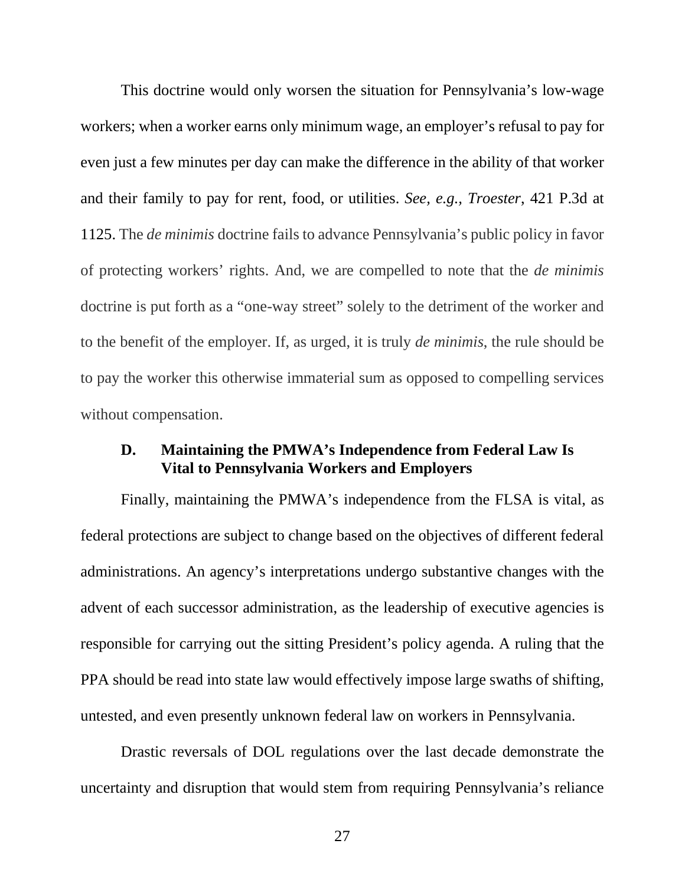This doctrine would only worsen the situation for Pennsylvania's low-wage workers; when a worker earns only minimum wage, an employer's refusal to pay for even just a few minutes per day can make the difference in the ability of that worker and their family to pay for rent, food, or utilities. *See, e.g., Troester*, 421 P.3d at 1125. The *de minimis* doctrine fails to advance Pennsylvania's public policy in favor of protecting workers' rights. And, we are compelled to note that the *de minimis*  doctrine is put forth as a "one-way street" solely to the detriment of the worker and to the benefit of the employer. If, as urged, it is truly *de minimis*, the rule should be to pay the worker this otherwise immaterial sum as opposed to compelling services without compensation.

#### **D. Maintaining the PMWA's Independence from Federal Law Is Vital to Pennsylvania Workers and Employers**

Finally, maintaining the PMWA's independence from the FLSA is vital, as federal protections are subject to change based on the objectives of different federal administrations. An agency's interpretations undergo substantive changes with the advent of each successor administration, as the leadership of executive agencies is responsible for carrying out the sitting President's policy agenda. A ruling that the PPA should be read into state law would effectively impose large swaths of shifting, untested, and even presently unknown federal law on workers in Pennsylvania.

Drastic reversals of DOL regulations over the last decade demonstrate the uncertainty and disruption that would stem from requiring Pennsylvania's reliance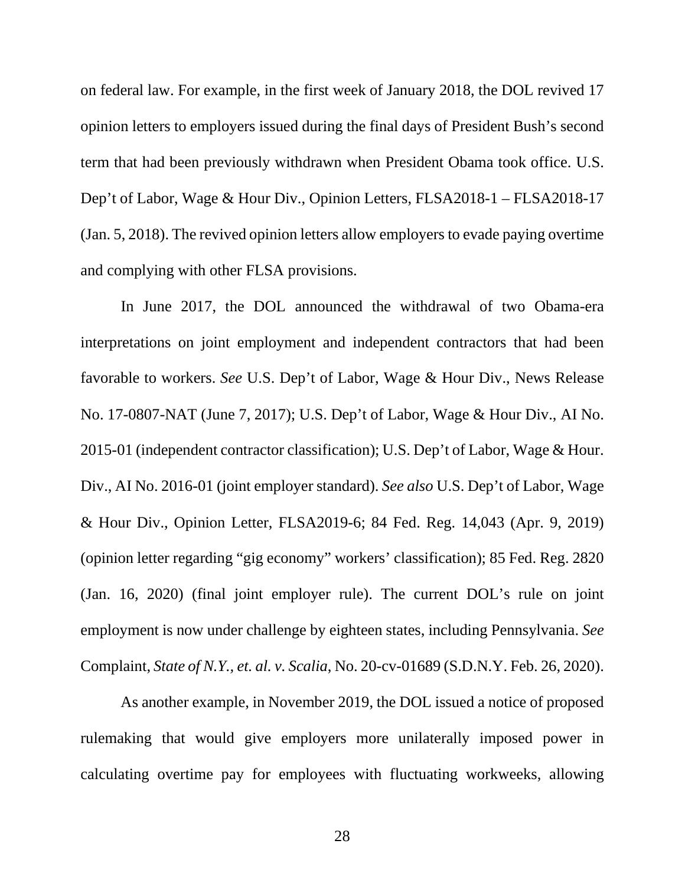on federal law. For example, in the first week of January 2018, the DOL revived 17 opinion letters to employers issued during the final days of President Bush's second term that had been previously withdrawn when President Obama took office. U.S. Dep't of Labor, Wage & Hour Div., Opinion Letters, FLSA2018-1 – FLSA2018-17 (Jan. 5, 2018). The revived opinion letters allow employers to evade paying overtime and complying with other FLSA provisions.

In June 2017, the DOL announced the withdrawal of two Obama-era interpretations on joint employment and independent contractors that had been favorable to workers. *See* U.S. Dep't of Labor, Wage & Hour Div., News Release No. 17-0807-NAT (June 7, 2017); U.S. Dep't of Labor, Wage & Hour Div., AI No. 2015-01 (independent contractor classification); U.S. Dep't of Labor, Wage & Hour. Div., AI No. 2016-01 (joint employer standard). *See also* U.S. Dep't of Labor, Wage & Hour Div., Opinion Letter, FLSA2019-6; 84 Fed. Reg. 14,043 (Apr. 9, 2019) (opinion letter regarding "gig economy" workers' classification); 85 Fed. Reg. 2820 (Jan. 16, 2020) (final joint employer rule). The current DOL's rule on joint employment is now under challenge by eighteen states, including Pennsylvania. *See*  Complaint, *State of N.Y., et. al. v. Scalia*, No. 20-cv-01689 (S.D.N.Y. Feb. 26, 2020).

As another example, in November 2019, the DOL issued a notice of proposed rulemaking that would give employers more unilaterally imposed power in calculating overtime pay for employees with fluctuating workweeks, allowing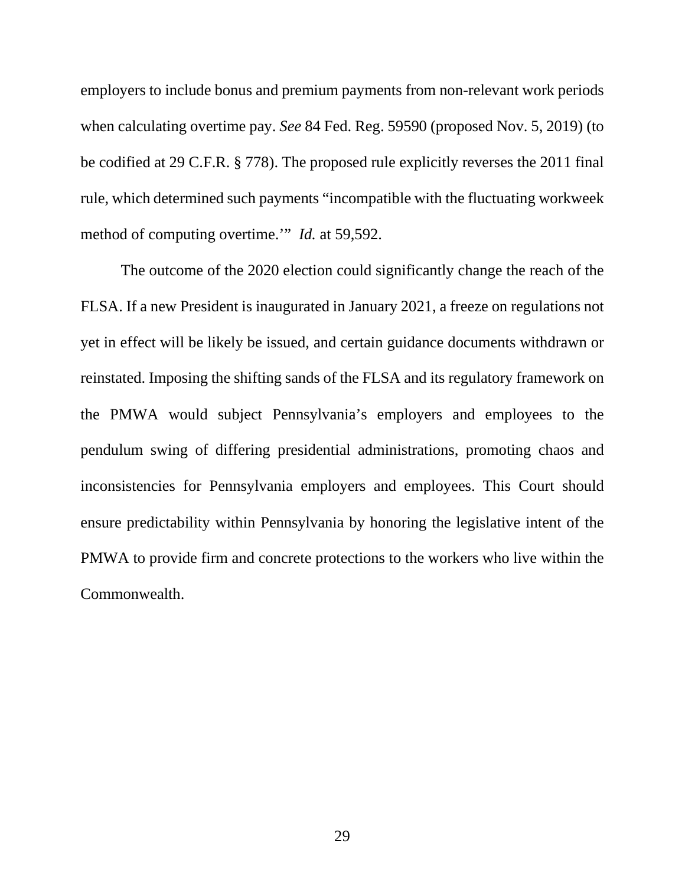employers to include bonus and premium payments from non-relevant work periods when calculating overtime pay. *See* 84 Fed. Reg. 59590 (proposed Nov. 5, 2019) (to be codified at 29 C.F.R. § 778). The proposed rule explicitly reverses the 2011 final rule, which determined such payments "incompatible with the fluctuating workweek method of computing overtime.'" *Id.* at 59,592.

The outcome of the 2020 election could significantly change the reach of the FLSA. If a new President is inaugurated in January 2021, a freeze on regulations not yet in effect will be likely be issued, and certain guidance documents withdrawn or reinstated. Imposing the shifting sands of the FLSA and its regulatory framework on the PMWA would subject Pennsylvania's employers and employees to the pendulum swing of differing presidential administrations, promoting chaos and inconsistencies for Pennsylvania employers and employees. This Court should ensure predictability within Pennsylvania by honoring the legislative intent of the PMWA to provide firm and concrete protections to the workers who live within the Commonwealth.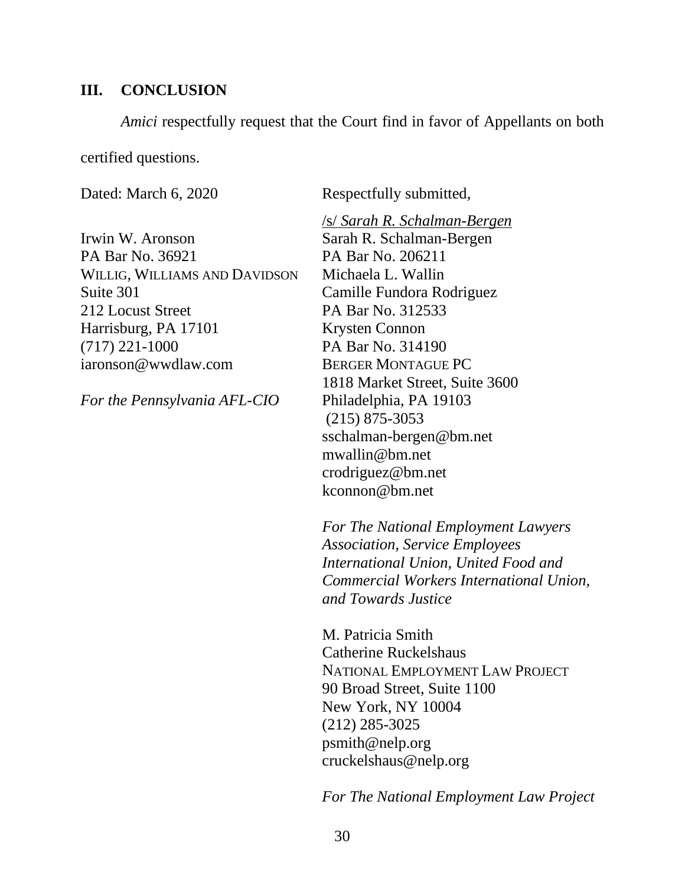#### **III. CONCLUSION**

*Amici* respectfully request that the Court find in favor of Appellants on both

certified questions.

Irwin W. Aronson Sarah R. Schalman-Bergen PA Bar No. 36921 PA Bar No. 206211 WILLIG, WILLIAMS AND DAVIDSON Michaela L. Wallin Suite 301 Camille Fundora Rodriguez 212 Locust Street PA Bar No. 312533 Harrisburg, PA 17101 Krysten Connon (717) 221-1000 PA Bar No. 314190 iaronson@wwdlaw.com BERGER MONTAGUE PC

*For the Pennsylvania AFL-CIO* Philadelphia, PA 19103

Dated: March 6, 2020 Respectfully submitted,

/s/ *Sarah R. Schalman-Bergen*  1818 Market Street, Suite 3600 (215) 875-3053 sschalman-bergen@bm.net mwallin@bm.net crodriguez@bm.net kconnon@bm.net

*For The National Employment Lawyers Association, Service Employees International Union, United Food and Commercial Workers International Union, and Towards Justice*

M. Patricia Smith Catherine Ruckelshaus NATIONAL EMPLOYMENT LAW PROJECT 90 Broad Street, Suite 1100 New York, NY 10004 (212) 285-3025 psmith@nelp.org cruckelshaus@nelp.org

*For The National Employment Law Project*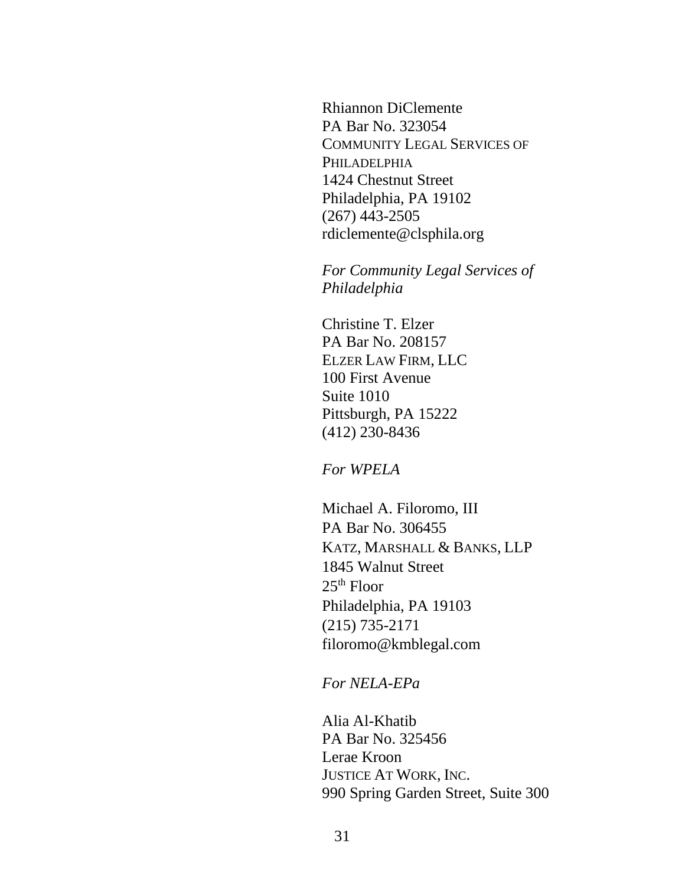Rhiannon DiClemente PA Bar No. 323054 COMMUNITY LEGAL SERVICES OF PHILADELPHIA 1424 Chestnut Street Philadelphia, PA 19102 (267) 443-2505 rdiclemente@clsphila.org

*For Community Legal Services of Philadelphia*

Christine T. Elzer PA Bar No. 208157 ELZER LAW FIRM, LLC 100 First Avenue Suite 1010 Pittsburgh, PA 15222 (412) 230-8436

*For WPELA* 

Michael A. Filoromo, III PA Bar No. 306455 KATZ, MARSHALL & BANKS, LLP 1845 Walnut Street  $25<sup>th</sup>$  Floor Philadelphia, PA 19103 (215) 735-2171 filoromo@kmblegal.com

*For NELA-EPa* 

Alia Al-Khatib PA Bar No. 325456 Lerae Kroon JUSTICE AT WORK, INC. 990 Spring Garden Street, Suite 300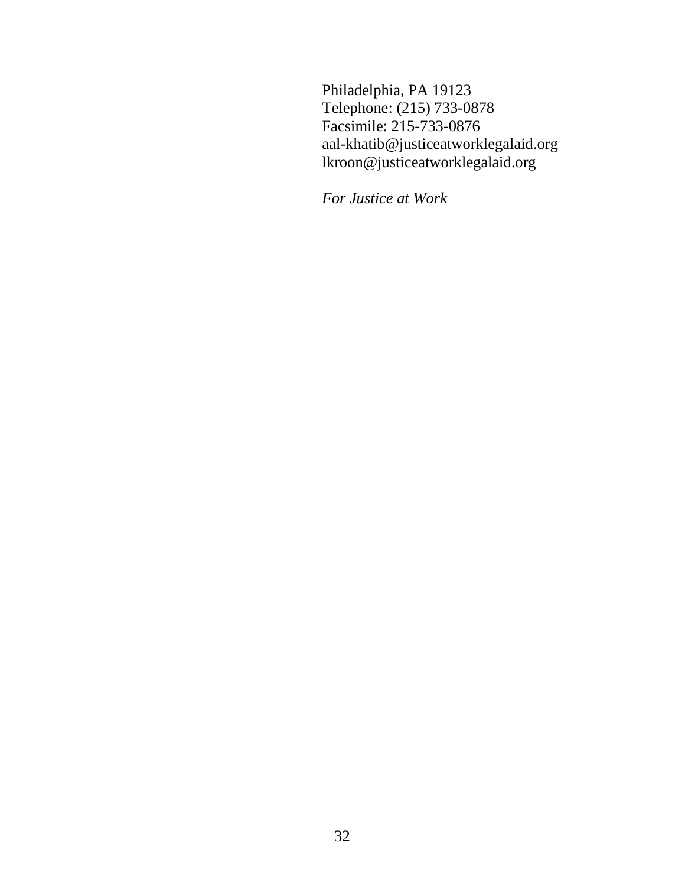Philadelphia, PA 19123 Telephone: (215) 733-0878 Facsimile: 215-733-0876 aal-khatib@justiceatworklegalaid.org lkroon@justiceatworklegalaid.org

*For Justice at Work*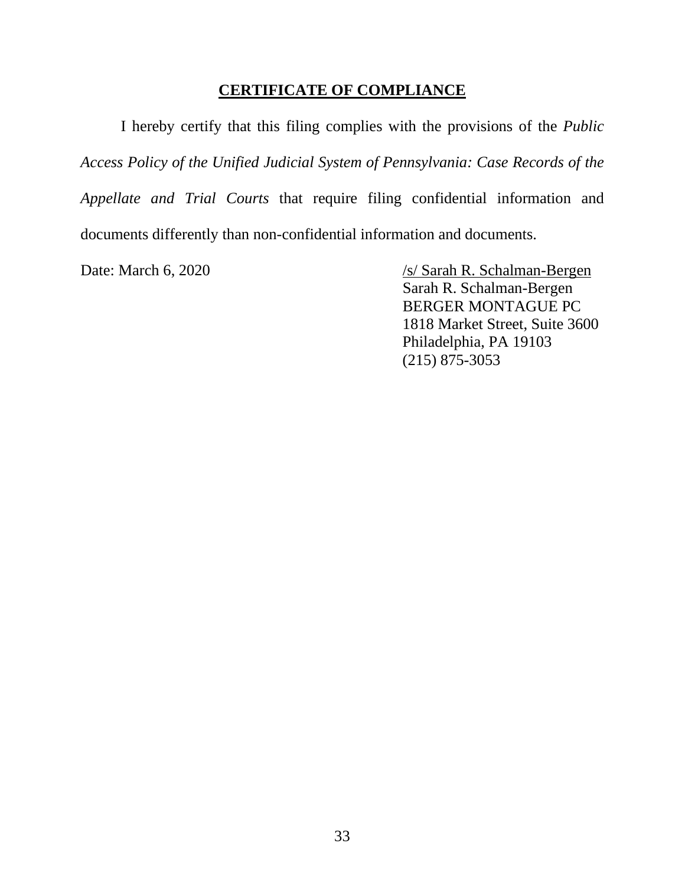#### **CERTIFICATE OF COMPLIANCE**

I hereby certify that this filing complies with the provisions of the *Public Access Policy of the Unified Judicial System of Pennsylvania: Case Records of the Appellate and Trial Courts* that require filing confidential information and documents differently than non-confidential information and documents.

Date: March 6, 2020 /s/ Sarah R. Schalman-Bergen Sarah R. Schalman-Bergen BERGER MONTAGUE PC 1818 Market Street, Suite 3600 Philadelphia, PA 19103 (215) 875-3053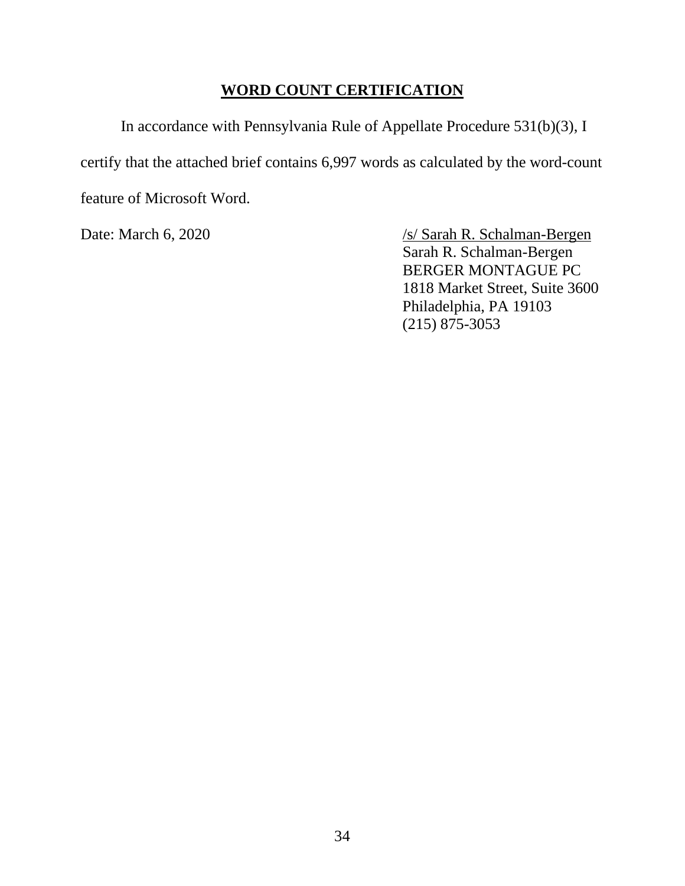### **WORD COUNT CERTIFICATION**

In accordance with Pennsylvania Rule of Appellate Procedure 531(b)(3), I certify that the attached brief contains 6,997 words as calculated by the word-count feature of Microsoft Word.

Date: March 6, 2020 /s/ Sarah R. Schalman-Bergen Sarah R. Schalman-Bergen BERGER MONTAGUE PC 1818 Market Street, Suite 3600 Philadelphia, PA 19103 (215) 875-3053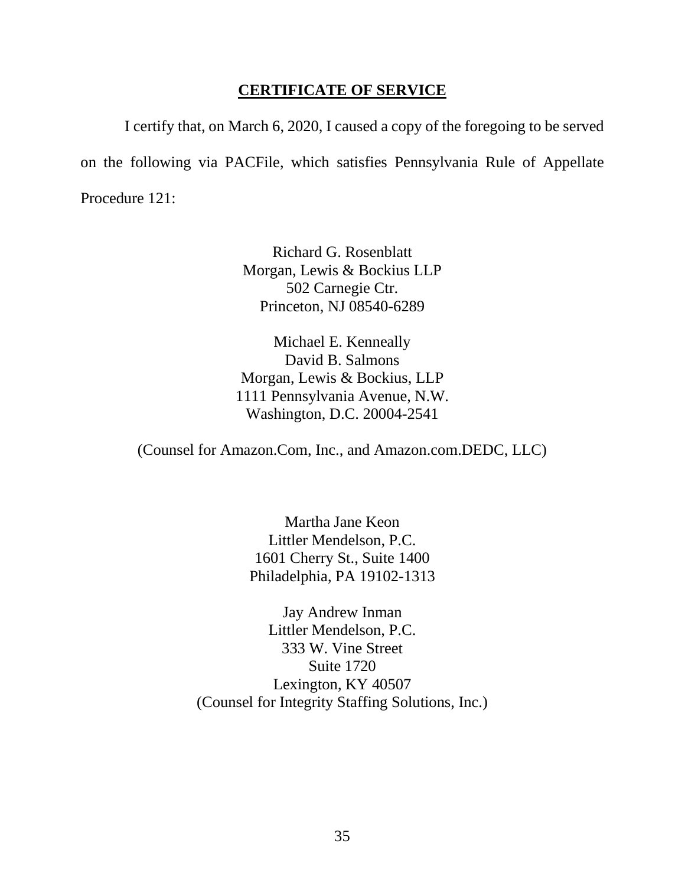#### **CERTIFICATE OF SERVICE**

I certify that, on March 6, 2020, I caused a copy of the foregoing to be served on the following via PACFile, which satisfies Pennsylvania Rule of Appellate Procedure 121:

> Richard G. Rosenblatt Morgan, Lewis & Bockius LLP 502 Carnegie Ctr. Princeton, NJ 08540-6289

Michael E. Kenneally David B. Salmons Morgan, Lewis & Bockius, LLP 1111 Pennsylvania Avenue, N.W. Washington, D.C. 20004-2541

(Counsel for Amazon.Com, Inc., and Amazon.com.DEDC, LLC)

Martha Jane Keon Littler Mendelson, P.C. 1601 Cherry St., Suite 1400 Philadelphia, PA 19102-1313

Jay Andrew Inman Littler Mendelson, P.C. 333 W. Vine Street Suite 1720 Lexington, KY 40507 (Counsel for Integrity Staffing Solutions, Inc.)